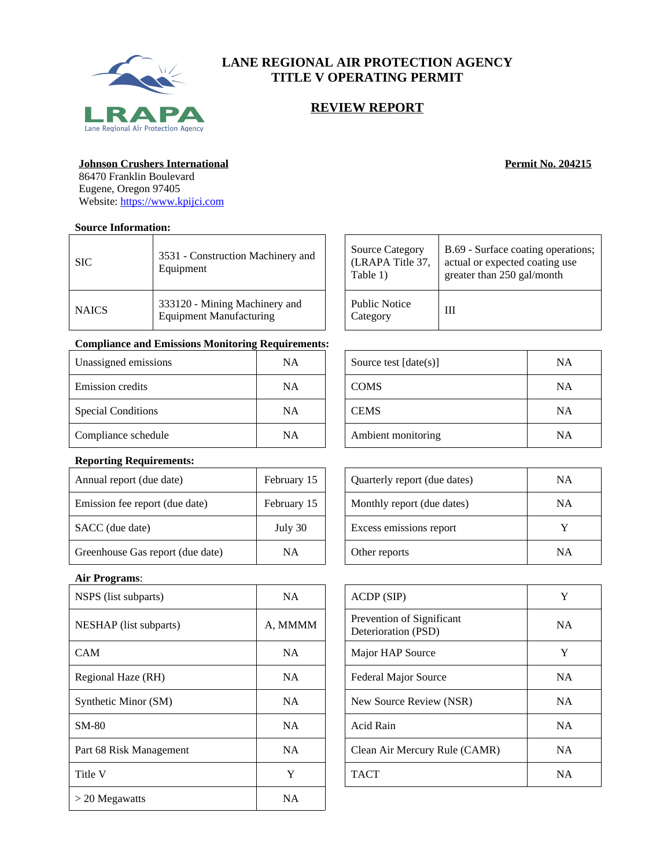

# **LANE REGIONAL AIR PROTECTION AGENCY TITLE V OPERATING PERMIT**

# **REVIEW REPORT**

#### **Johnson Crushers International** *Permit No. 204215*

86470 Franklin Boulevard Eugene, Oregon 97405 Website:<https://www.kpijci.com>

### **Source Information:**

| <b>SIC</b>   | 3531 - Construction Machinery and<br>Equipment           |
|--------------|----------------------------------------------------------|
| <b>NAICS</b> | 333120 - Mining Machinery and<br>Equipment Manufacturing |

## **Compliance and Emissions Monitoring Requirements:**

| Unassigned emissions      | <b>NA</b> | Source test $[date(s)]$ | <b>NA</b> |
|---------------------------|-----------|-------------------------|-----------|
| Emission credits          | <b>NA</b> | <b>COMS</b>             | <b>NA</b> |
| <b>Special Conditions</b> | <b>NA</b> | <b>CEMS</b>             | <b>NA</b> |
| Compliance schedule       | <b>NA</b> | Ambient monitoring      | NA        |

### **Reporting Requirements:**

| Annual report (due date)         | February 15 | Quarterly report (due dates) | NA           |
|----------------------------------|-------------|------------------------------|--------------|
| Emission fee report (due date)   | February 15 | Monthly report (due dates)   | NA           |
| SACC (due date)                  | July 30     | Excess emissions report      | $\mathbf{v}$ |
| Greenhouse Gas report (due date) | <b>NA</b>   | Other reports                | NA           |

# **Air Programs**:

| NSPS (list subparts)    | <b>NA</b> | ACDP(SIP)                                        | Y         |
|-------------------------|-----------|--------------------------------------------------|-----------|
| NESHAP (list subparts)  | A, MMMM   | Prevention of Significant<br>Deterioration (PSD) | <b>NA</b> |
| <b>CAM</b>              | NA.       | Major HAP Source                                 | Y         |
| Regional Haze (RH)      | NA.       | <b>Federal Major Source</b>                      | <b>NA</b> |
| Synthetic Minor (SM)    | <b>NA</b> | New Source Review (NSR)                          | <b>NA</b> |
| <b>SM-80</b>            | <b>NA</b> | Acid Rain                                        | <b>NA</b> |
| Part 68 Risk Management | NA.       | Clean Air Mercury Rule (CAMR)                    | <b>NA</b> |
| Title V                 | Y         | <b>TACT</b>                                      | <b>NA</b> |
| $>$ 20 Megawatts        | NA.       |                                                  |           |

| <b>Source Category</b>           | B.69 - Surface coating operations; |
|----------------------------------|------------------------------------|
| (LRAPA Title 37,                 | actual or expected coating use     |
| Table 1)                         | greater than 250 gal/month         |
| <b>Public Notice</b><br>Category | Ш                                  |

| Source test $[date(s)]$ | <b>NA</b> |
|-------------------------|-----------|
| <b>COMS</b>             | <b>NA</b> |
| <b>CEMS</b>             | <b>NA</b> |
| Ambient monitoring      | NA        |

| Quarterly report (due dates) | ΝA |
|------------------------------|----|
| Monthly report (due dates)   | ΝA |
| Excess emissions report      |    |
| Other reports                | ΝA |

| ACDP (SIP)                                       | Y         |
|--------------------------------------------------|-----------|
| Prevention of Significant<br>Deterioration (PSD) | <b>NA</b> |
| Major HAP Source                                 | Y         |
| <b>Federal Major Source</b>                      | <b>NA</b> |
| New Source Review (NSR)                          | <b>NA</b> |
| Acid Rain                                        | <b>NA</b> |
| Clean Air Mercury Rule (CAMR)                    | NΑ        |
| <b>TACT</b>                                      | <b>NA</b> |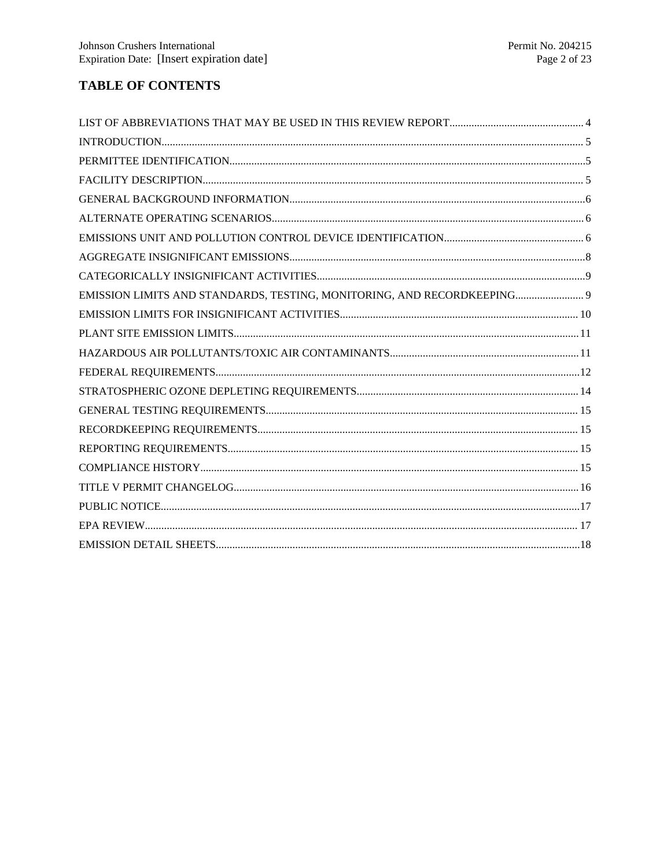# **TABLE OF CONTENTS**

| EMISSION LIMITS AND STANDARDS, TESTING, MONITORING, AND RECORDKEEPING 9 |  |
|-------------------------------------------------------------------------|--|
|                                                                         |  |
|                                                                         |  |
|                                                                         |  |
|                                                                         |  |
|                                                                         |  |
|                                                                         |  |
|                                                                         |  |
|                                                                         |  |
|                                                                         |  |
|                                                                         |  |
|                                                                         |  |
|                                                                         |  |
|                                                                         |  |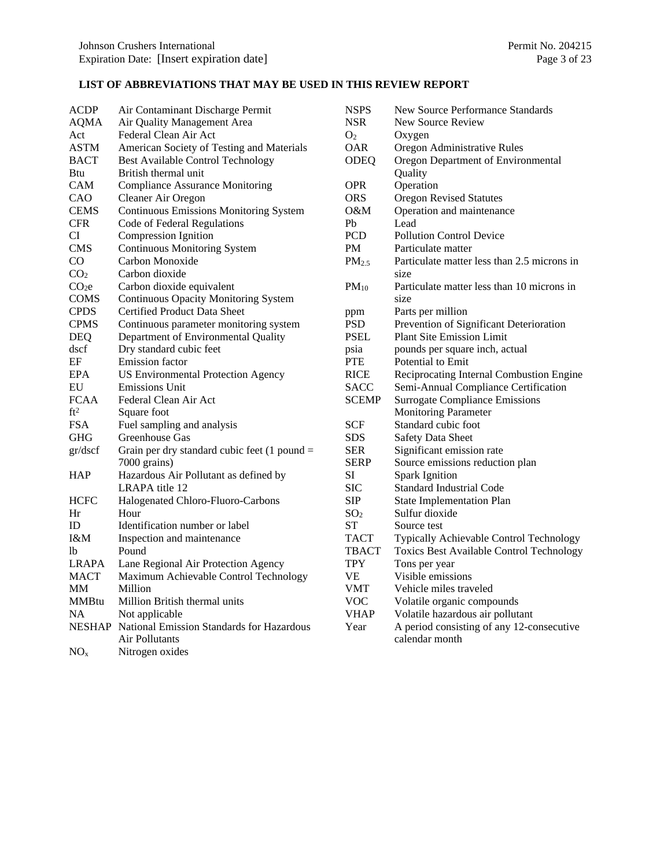# <span id="page-2-0"></span>**LIST OF ABBREVIATIONS THAT MAY BE USED IN THIS REVIEW REPORT**

| ACDP              | Air Contaminant Discharge Permit                 |
|-------------------|--------------------------------------------------|
| <b>AQMA</b>       | Air Quality Management Area                      |
| Act               | Federal Clean Air Act                            |
| <b>ASTM</b>       | American Society of Testing and Materials        |
| <b>BACT</b>       | <b>Best Available Control Technology</b>         |
| Btu               | British thermal unit                             |
| CAM               | <b>Compliance Assurance Monitoring</b>           |
| CAO               | Cleaner Air Oregon                               |
| <b>CEMS</b>       | <b>Continuous Emissions Monitoring System</b>    |
| <b>CFR</b>        | Code of Federal Regulations                      |
| CI                | <b>Compression Ignition</b>                      |
| <b>CMS</b>        | <b>Continuous Monitoring System</b>              |
| CO                | Carbon Monoxide                                  |
| CO <sub>2</sub>   | Carbon dioxide                                   |
| CO <sub>2</sub> e | Carbon dioxide equivalent                        |
| <b>COMS</b>       | <b>Continuous Opacity Monitoring System</b>      |
| <b>CPDS</b>       | <b>Certified Product Data Sheet</b>              |
| CPMS              | Continuous parameter monitoring system           |
| DEQ               | Department of Environmental Quality              |
| dscf              | Dry standard cubic feet                          |
| EF                | Emission factor                                  |
| EPA               | <b>US Environmental Protection Agency</b>        |
| ${\rm EU}$        | <b>Emissions Unit</b>                            |
| <b>FCAA</b>       | Federal Clean Air Act                            |
| ft <sup>2</sup>   | Square foot                                      |
| FSA               | Fuel sampling and analysis                       |
| GHG               | Greenhouse Gas                                   |
| gr/dscf           | Grain per dry standard cubic feet $(1$ pound =   |
|                   | 7000 grains)                                     |
| HAP               | Hazardous Air Pollutant as defined by            |
|                   | LRAPA title 12                                   |
| HCFC              | Halogenated Chloro-Fluoro-Carbons                |
| Hr                | Hour                                             |
| ID                | Identification number or label                   |
| I&M               | Inspection and maintenance                       |
| lb                | Pound                                            |
| LRAPA             | Lane Regional Air Protection Agency              |
| <b>MACT</b>       | Maximum Achievable Control Technology            |
| MМ                | Million                                          |
| <b>MMBtu</b>      | Million British thermal units                    |
| NA                | Not applicable                                   |
|                   | NESHAP National Emission Standards for Hazardous |
|                   | Air Pollutants                                   |
| NO <sub>x</sub>   | Nitrogen oxides                                  |

| <b>NSPS</b>       | <b>New Source Performance Standards</b>     |  |
|-------------------|---------------------------------------------|--|
| <b>NSR</b>        | <b>New Source Review</b>                    |  |
| O <sub>2</sub>    | Oxygen                                      |  |
| OAR               | Oregon Administrative Rules                 |  |
| ODEQ              | Oregon Department of Environmental          |  |
|                   | Quality                                     |  |
| <b>OPR</b>        | Operation                                   |  |
| <b>ORS</b>        | <b>Oregon Revised Statutes</b>              |  |
| 0&M               | Operation and maintenance                   |  |
| Pb                | Lead                                        |  |
| PCD               | <b>Pollution Control Device</b>             |  |
| PM                | Particulate matter                          |  |
| PM <sub>2.5</sub> | Particulate matter less than 2.5 microns in |  |
|                   | size                                        |  |
| $PM_{10}$         | Particulate matter less than 10 microns in  |  |
|                   | size                                        |  |
| ppm               | Parts per million                           |  |
| <b>PSD</b>        | Prevention of Significant Deterioration     |  |
| PSEL              | <b>Plant Site Emission Limit</b>            |  |
| psia              | pounds per square inch, actual              |  |
| PTE               | Potential to Emit                           |  |
| <b>RICE</b>       | Reciprocating Internal Combustion Engine    |  |
| <b>SACC</b>       | Semi-Annual Compliance Certification        |  |
| <b>SCEMP</b>      | <b>Surrogate Compliance Emissions</b>       |  |
|                   | <b>Monitoring Parameter</b>                 |  |
| <b>SCF</b>        | Standard cubic foot                         |  |
| <b>SDS</b>        | <b>Safety Data Sheet</b>                    |  |
| <b>SER</b>        | Significant emission rate                   |  |
| <b>SERP</b>       | Source emissions reduction plan             |  |
| SI                | <b>Spark Ignition</b>                       |  |
| <b>SIC</b>        | <b>Standard Industrial Code</b>             |  |
| <b>SIP</b>        | <b>State Implementation Plan</b>            |  |
| SO <sub>2</sub>   | Sulfur dioxide                              |  |
| <b>ST</b>         | Source test                                 |  |
| <b>TACT</b>       | Typically Achievable Control Technology     |  |
| <b>TBACT</b>      | Toxics Best Available Control Technology    |  |
| TPY               | Tons per year                               |  |
| <b>VE</b>         | Visible emissions                           |  |
| <b>VMT</b>        | Vehicle miles traveled                      |  |
| <b>VOC</b>        | Volatile organic compounds                  |  |
| <b>VHAP</b>       | Volatile hazardous air pollutant            |  |
| Year              | A period consisting of any 12-consecutive   |  |
|                   | calendar month                              |  |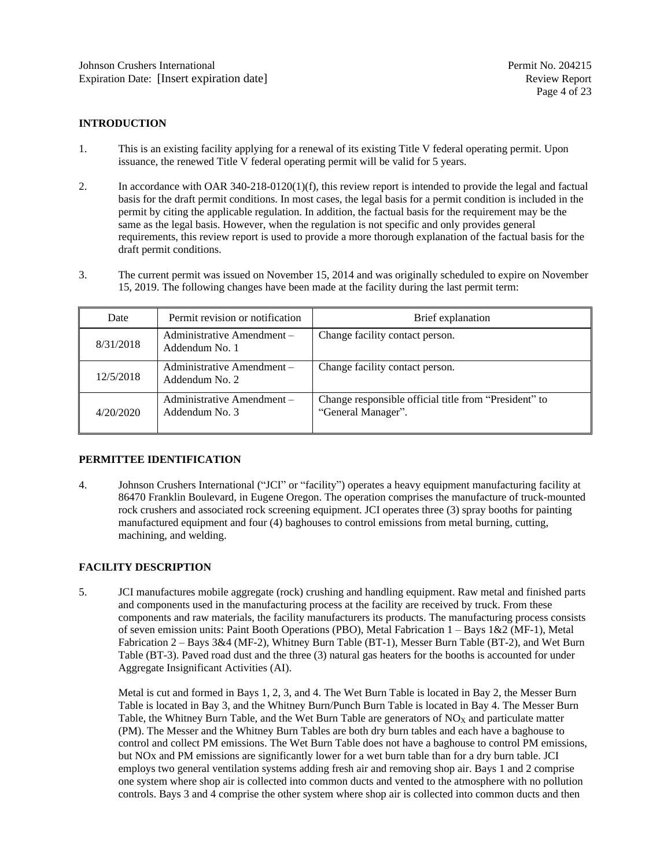### <span id="page-3-0"></span>**INTRODUCTION**

- 1. This is an existing facility applying for a renewal of its existing Title V federal operating permit. Upon issuance, the renewed Title V federal operating permit will be valid for 5 years.
- 2. In accordance with OAR 340-218-0120(1)(f), this review report is intended to provide the legal and factual basis for the draft permit conditions. In most cases, the legal basis for a permit condition is included in the permit by citing the applicable regulation. In addition, the factual basis for the requirement may be the same as the legal basis. However, when the regulation is not specific and only provides general requirements, this review report is used to provide a more thorough explanation of the factual basis for the draft permit conditions.
- 3. The current permit was issued on November 15, 2014 and was originally scheduled to expire on November 15, 2019. The following changes have been made at the facility during the last permit term:

| Date      | Permit revision or notification              | Brief explanation                                                           |
|-----------|----------------------------------------------|-----------------------------------------------------------------------------|
| 8/31/2018 | Administrative Amendment -<br>Addendum No. 1 | Change facility contact person.                                             |
| 12/5/2018 | Administrative Amendment -<br>Addendum No. 2 | Change facility contact person.                                             |
| 4/20/2020 | Administrative Amendment -<br>Addendum No. 3 | Change responsible official title from "President" to<br>"General Manager". |

#### <span id="page-3-1"></span>**PERMITTEE IDENTIFICATION**

4. Johnson Crushers International ("JCI" or "facility") operates a heavy equipment manufacturing facility at 86470 Franklin Boulevard, in Eugene Oregon. The operation comprises the manufacture of truck-mounted rock crushers and associated rock screening equipment. JCI operates three (3) spray booths for painting manufactured equipment and four (4) baghouses to control emissions from metal burning, cutting, machining, and welding.

#### <span id="page-3-2"></span>**FACILITY DESCRIPTION**

5. JCI manufactures mobile aggregate (rock) crushing and handling equipment. Raw metal and finished parts and components used in the manufacturing process at the facility are received by truck. From these components and raw materials, the facility manufacturers its products. The manufacturing process consists of seven emission units: Paint Booth Operations (PBO), Metal Fabrication 1 – Bays 1&2 (MF-1), Metal Fabrication 2 – Bays 3&4 (MF-2), Whitney Burn Table (BT-1), Messer Burn Table (BT-2), and Wet Burn Table (BT-3). Paved road dust and the three (3) natural gas heaters for the booths is accounted for under Aggregate Insignificant Activities (AI).

Metal is cut and formed in Bays 1, 2, 3, and 4. The Wet Burn Table is located in Bay 2, the Messer Burn Table is located in Bay 3, and the Whitney Burn/Punch Burn Table is located in Bay 4. The Messer Burn Table, the Whitney Burn Table, and the Wet Burn Table are generators of  $NO<sub>X</sub>$  and particulate matter (PM). The Messer and the Whitney Burn Tables are both dry burn tables and each have a baghouse to control and collect PM emissions. The Wet Burn Table does not have a baghouse to control PM emissions, but NOx and PM emissions are significantly lower for a wet burn table than for a dry burn table. JCI employs two general ventilation systems adding fresh air and removing shop air. Bays 1 and 2 comprise one system where shop air is collected into common ducts and vented to the atmosphere with no pollution controls. Bays 3 and 4 comprise the other system where shop air is collected into common ducts and then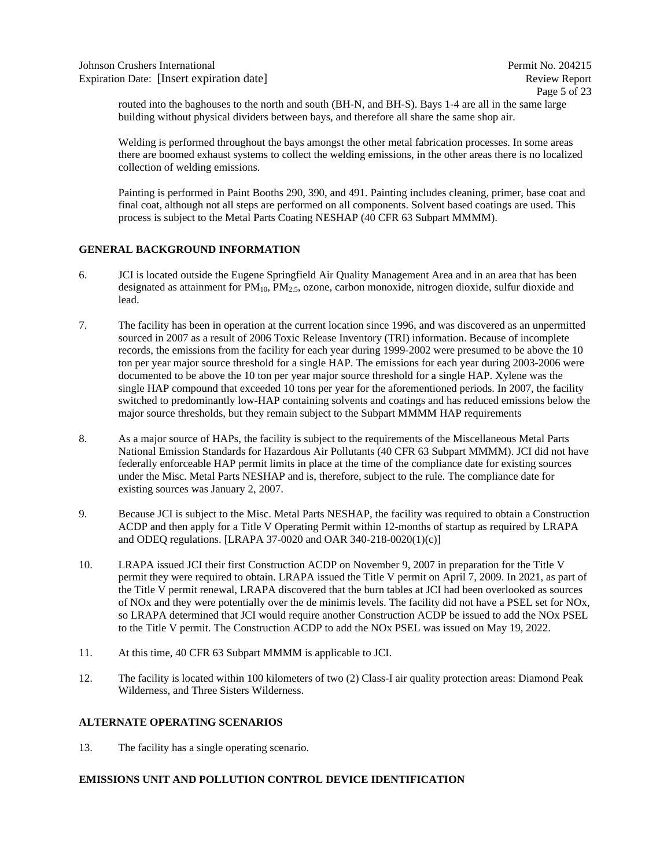routed into the baghouses to the north and south (BH-N, and BH-S). Bays 1-4 are all in the same large building without physical dividers between bays, and therefore all share the same shop air.

Welding is performed throughout the bays amongst the other metal fabrication processes. In some areas there are boomed exhaust systems to collect the welding emissions, in the other areas there is no localized collection of welding emissions.

Painting is performed in Paint Booths 290, 390, and 491. Painting includes cleaning, primer, base coat and final coat, although not all steps are performed on all components. Solvent based coatings are used. This process is subject to the Metal Parts Coating NESHAP (40 CFR 63 Subpart MMMM).

### <span id="page-4-0"></span>**GENERAL BACKGROUND INFORMATION**

- 6. JCI is located outside the Eugene Springfield Air Quality Management Area and in an area that has been designated as attainment for  $PM_{10}$ ,  $PM_{2.5}$ , ozone, carbon monoxide, nitrogen dioxide, sulfur dioxide and lead.
- 7. The facility has been in operation at the current location since 1996, and was discovered as an unpermitted sourced in 2007 as a result of 2006 Toxic Release Inventory (TRI) information. Because of incomplete records, the emissions from the facility for each year during 1999-2002 were presumed to be above the 10 ton per year major source threshold for a single HAP. The emissions for each year during 2003-2006 were documented to be above the 10 ton per year major source threshold for a single HAP. Xylene was the single HAP compound that exceeded 10 tons per year for the aforementioned periods. In 2007, the facility switched to predominantly low-HAP containing solvents and coatings and has reduced emissions below the major source thresholds, but they remain subject to the Subpart MMMM HAP requirements
- 8. As a major source of HAPs, the facility is subject to the requirements of the Miscellaneous Metal Parts National Emission Standards for Hazardous Air Pollutants (40 CFR 63 Subpart MMMM). JCI did not have federally enforceable HAP permit limits in place at the time of the compliance date for existing sources under the Misc. Metal Parts NESHAP and is, therefore, subject to the rule. The compliance date for existing sources was January 2, 2007.
- 9. Because JCI is subject to the Misc. Metal Parts NESHAP, the facility was required to obtain a Construction ACDP and then apply for a Title V Operating Permit within 12-months of startup as required by LRAPA and ODEQ regulations. [LRAPA 37-0020 and OAR 340-218-0020(1)(c)]
- 10. LRAPA issued JCI their first Construction ACDP on November 9, 2007 in preparation for the Title V permit they were required to obtain. LRAPA issued the Title V permit on April 7, 2009. In 2021, as part of the Title V permit renewal, LRAPA discovered that the burn tables at JCI had been overlooked as sources of NOx and they were potentially over the de minimis levels. The facility did not have a PSEL set for NOx, so LRAPA determined that JCI would require another Construction ACDP be issued to add the NOx PSEL to the Title V permit. The Construction ACDP to add the NOx PSEL was issued on May 19, 2022.
- 11. At this time, 40 CFR 63 Subpart MMMM is applicable to JCI.
- 12. The facility is located within 100 kilometers of two (2) Class-I air quality protection areas: Diamond Peak Wilderness, and Three Sisters Wilderness.

#### <span id="page-4-1"></span>**ALTERNATE OPERATING SCENARIOS**

13. The facility has a single operating scenario.

### <span id="page-4-2"></span>**EMISSIONS UNIT AND POLLUTION CONTROL DEVICE IDENTIFICATION**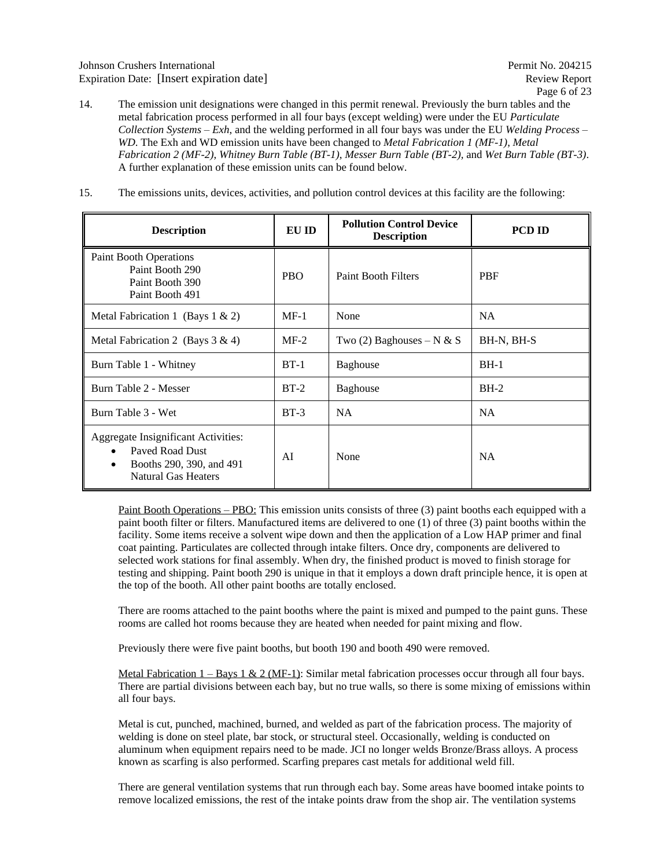- 14. The emission unit designations were changed in this permit renewal. Previously the burn tables and the metal fabrication process performed in all four bays (except welding) were under the EU *Particulate Collection Systems – Exh*, and the welding performed in all four bays was under the EU *Welding Process – WD*. The Exh and WD emission units have been changed to *Metal Fabrication 1 (MF-1)*, *Metal Fabrication 2 (MF-2)*, *Whitney Burn Table (BT-1)*, *Messer Burn Table (BT-2),* and *Wet Burn Table (BT-3)*. A further explanation of these emission units can be found below.
- 15. The emissions units, devices, activities, and pollution control devices at this facility are the following:

| <b>Description</b>                                                                                                                 | EU ID      | <b>Pollution Control Device</b><br><b>Description</b> | <b>PCD ID</b> |  |  |
|------------------------------------------------------------------------------------------------------------------------------------|------------|-------------------------------------------------------|---------------|--|--|
| Paint Booth Operations<br>Paint Booth 290<br>Paint Booth 390<br>Paint Booth 491                                                    | <b>PBO</b> | <b>Paint Booth Filters</b>                            | <b>PBF</b>    |  |  |
| Metal Fabrication 1 (Bays $1 \& 2$ )                                                                                               | $MF-1$     | None                                                  | <b>NA</b>     |  |  |
| Metal Fabrication 2 (Bays $3 \& 4$ )                                                                                               | $MF-2$     | Two (2) Baghouses – N & S                             | BH-N, BH-S    |  |  |
| Burn Table 1 - Whitney                                                                                                             | $BT-1$     | <b>Baghouse</b>                                       | $BH-1$        |  |  |
| Burn Table 2 - Messer                                                                                                              | $BT-2$     | <b>Baghouse</b>                                       | $BH-2$        |  |  |
| Burn Table 3 - Wet                                                                                                                 | $BT-3$     | <b>NA</b>                                             | NA            |  |  |
| Aggregate Insignificant Activities:<br>Paved Road Dust<br>$\bullet$<br>Booths 290, 390, and 491<br>٠<br><b>Natural Gas Heaters</b> | AĪ         | None                                                  | <b>NA</b>     |  |  |

Paint Booth Operations – PBO: This emission units consists of three (3) paint booths each equipped with a paint booth filter or filters. Manufactured items are delivered to one (1) of three (3) paint booths within the facility. Some items receive a solvent wipe down and then the application of a Low HAP primer and final coat painting. Particulates are collected through intake filters. Once dry, components are delivered to selected work stations for final assembly. When dry, the finished product is moved to finish storage for testing and shipping. Paint booth 290 is unique in that it employs a down draft principle hence, it is open at the top of the booth. All other paint booths are totally enclosed.

There are rooms attached to the paint booths where the paint is mixed and pumped to the paint guns. These rooms are called hot rooms because they are heated when needed for paint mixing and flow.

Previously there were five paint booths, but booth 190 and booth 490 were removed.

Metal Fabrication  $1 - Bays \ 1 \ \& \ 2 \ (MF-1)$ : Similar metal fabrication processes occur through all four bays. There are partial divisions between each bay, but no true walls, so there is some mixing of emissions within all four bays.

Metal is cut, punched, machined, burned, and welded as part of the fabrication process. The majority of welding is done on steel plate, bar stock, or structural steel. Occasionally, welding is conducted on aluminum when equipment repairs need to be made. JCI no longer welds Bronze/Brass alloys. A process known as scarfing is also performed. Scarfing prepares cast metals for additional weld fill.

There are general ventilation systems that run through each bay. Some areas have boomed intake points to remove localized emissions, the rest of the intake points draw from the shop air. The ventilation systems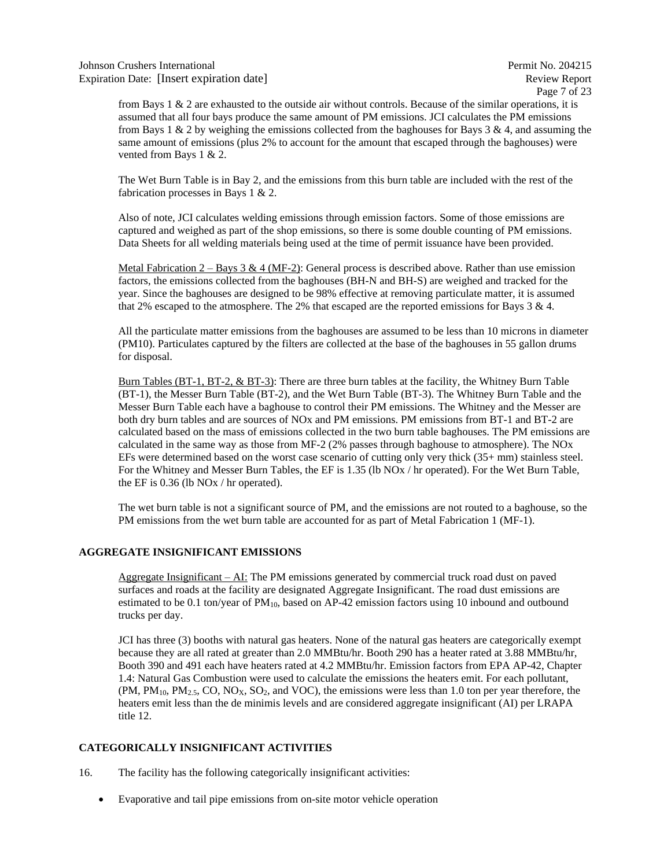Page 7 of 23

from Bays  $1 \& 2$  are exhausted to the outside air without controls. Because of the similar operations, it is assumed that all four bays produce the same amount of PM emissions. JCI calculates the PM emissions from Bays 1  $\&$  2 by weighing the emissions collected from the baghouses for Bays 3  $\&$  4, and assuming the same amount of emissions (plus 2% to account for the amount that escaped through the baghouses) were vented from Bays 1 & 2.

The Wet Burn Table is in Bay 2, and the emissions from this burn table are included with the rest of the fabrication processes in Bays 1 & 2.

Also of note, JCI calculates welding emissions through emission factors. Some of those emissions are captured and weighed as part of the shop emissions, so there is some double counting of PM emissions. Data Sheets for all welding materials being used at the time of permit issuance have been provided.

Metal Fabrication  $2 - \text{Bays } 3 \& 4 \,(MF-2)$ : General process is described above. Rather than use emission factors, the emissions collected from the baghouses (BH-N and BH-S) are weighed and tracked for the year. Since the baghouses are designed to be 98% effective at removing particulate matter, it is assumed that 2% escaped to the atmosphere. The 2% that escaped are the reported emissions for Bays  $3 \& 4$ .

All the particulate matter emissions from the baghouses are assumed to be less than 10 microns in diameter (PM10). Particulates captured by the filters are collected at the base of the baghouses in 55 gallon drums for disposal.

Burn Tables (BT-1, BT-2, & BT-3): There are three burn tables at the facility, the Whitney Burn Table (BT-1), the Messer Burn Table (BT-2), and the Wet Burn Table (BT-3). The Whitney Burn Table and the Messer Burn Table each have a baghouse to control their PM emissions. The Whitney and the Messer are both dry burn tables and are sources of NOx and PM emissions. PM emissions from BT-1 and BT-2 are calculated based on the mass of emissions collected in the two burn table baghouses. The PM emissions are calculated in the same way as those from MF-2 (2% passes through baghouse to atmosphere). The NOx EFs were determined based on the worst case scenario of cutting only very thick (35+ mm) stainless steel. For the Whitney and Messer Burn Tables, the EF is 1.35 (lb NOx / hr operated). For the Wet Burn Table, the EF is 0.36 (lb NOx / hr operated).

The wet burn table is not a significant source of PM, and the emissions are not routed to a baghouse, so the PM emissions from the wet burn table are accounted for as part of Metal Fabrication 1 (MF-1).

#### <span id="page-6-0"></span>**AGGREGATE INSIGNIFICANT EMISSIONS**

Aggregate Insignificant – AI: The PM emissions generated by commercial truck road dust on paved surfaces and roads at the facility are designated Aggregate Insignificant. The road dust emissions are estimated to be 0.1 ton/year of  $PM_{10}$ , based on AP-42 emission factors using 10 inbound and outbound trucks per day.

JCI has three (3) booths with natural gas heaters. None of the natural gas heaters are categorically exempt because they are all rated at greater than 2.0 MMBtu/hr. Booth 290 has a heater rated at 3.88 MMBtu/hr, Booth 390 and 491 each have heaters rated at 4.2 MMBtu/hr. Emission factors from EPA AP-42, Chapter 1.4: Natural Gas Combustion were used to calculate the emissions the heaters emit. For each pollutant,  $(PM, PM_{10}, PM_{2.5}, CO, NO<sub>X</sub>, SO<sub>2</sub>, and VOC)$ , the emissions were less than 1.0 ton per year therefore, the heaters emit less than the de minimis levels and are considered aggregate insignificant (AI) per LRAPA title 12.

### <span id="page-6-1"></span>**CATEGORICALLY INSIGNIFICANT ACTIVITIES**

- 16. The facility has the following categorically insignificant activities:
	- Evaporative and tail pipe emissions from on-site motor vehicle operation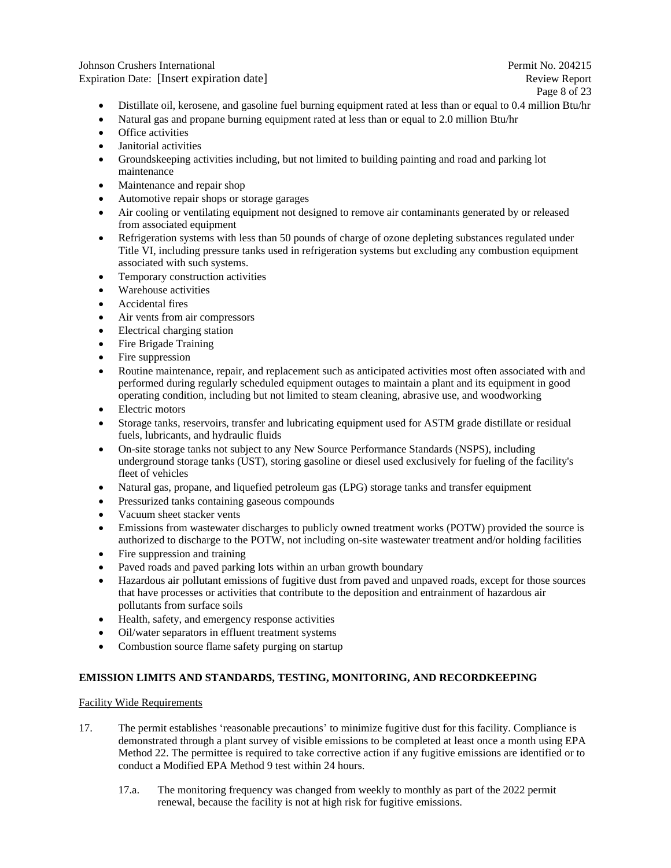Johnson Crushers International Permit No. 204215 Expiration Date: [Insert expiration date] Review Report Review Report

Page 8 of 23

- Distillate oil, kerosene, and gasoline fuel burning equipment rated at less than or equal to 0.4 million Btu/hr
- Natural gas and propane burning equipment rated at less than or equal to 2.0 million Btu/hr
- Office activities
- Janitorial activities
- Groundskeeping activities including, but not limited to building painting and road and parking lot maintenance
- Maintenance and repair shop
- Automotive repair shops or storage garages
- Air cooling or ventilating equipment not designed to remove air contaminants generated by or released from associated equipment
- Refrigeration systems with less than 50 pounds of charge of ozone depleting substances regulated under Title VI, including pressure tanks used in refrigeration systems but excluding any combustion equipment associated with such systems.
- Temporary construction activities
- Warehouse activities
- Accidental fires
- Air vents from air compressors
- Electrical charging station
- Fire Brigade Training
- Fire suppression
- Routine maintenance, repair, and replacement such as anticipated activities most often associated with and performed during regularly scheduled equipment outages to maintain a plant and its equipment in good operating condition, including but not limited to steam cleaning, abrasive use, and woodworking
- Electric motors
- Storage tanks, reservoirs, transfer and lubricating equipment used for ASTM grade distillate or residual fuels, lubricants, and hydraulic fluids
- On-site storage tanks not subject to any New Source Performance Standards (NSPS), including underground storage tanks (UST), storing gasoline or diesel used exclusively for fueling of the facility's fleet of vehicles
- Natural gas, propane, and liquefied petroleum gas (LPG) storage tanks and transfer equipment
- Pressurized tanks containing gaseous compounds
- Vacuum sheet stacker vents
- Emissions from wastewater discharges to publicly owned treatment works (POTW) provided the source is authorized to discharge to the POTW, not including on-site wastewater treatment and/or holding facilities
- Fire suppression and training
- Paved roads and paved parking lots within an urban growth boundary
- Hazardous air pollutant emissions of fugitive dust from paved and unpaved roads, except for those sources that have processes or activities that contribute to the deposition and entrainment of hazardous air pollutants from surface soils
- Health, safety, and emergency response activities
- Oil/water separators in effluent treatment systems
- Combustion source flame safety purging on startup

#### <span id="page-7-0"></span>**EMISSION LIMITS AND STANDARDS, TESTING, MONITORING, AND RECORDKEEPING**

#### Facility Wide Requirements

- 17. The permit establishes 'reasonable precautions' to minimize fugitive dust for this facility. Compliance is demonstrated through a plant survey of visible emissions to be completed at least once a month using EPA Method 22. The permittee is required to take corrective action if any fugitive emissions are identified or to conduct a Modified EPA Method 9 test within 24 hours.
	- 17.a. The monitoring frequency was changed from weekly to monthly as part of the 2022 permit renewal, because the facility is not at high risk for fugitive emissions.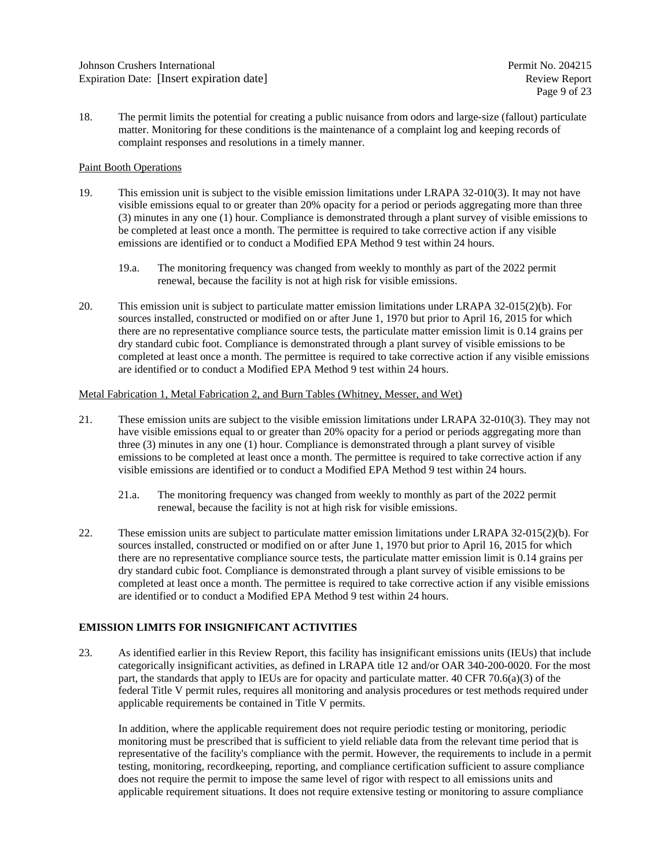18. The permit limits the potential for creating a public nuisance from odors and large-size (fallout) particulate matter. Monitoring for these conditions is the maintenance of a complaint log and keeping records of complaint responses and resolutions in a timely manner.

#### Paint Booth Operations

- 19. This emission unit is subject to the visible emission limitations under LRAPA 32-010(3). It may not have visible emissions equal to or greater than 20% opacity for a period or periods aggregating more than three (3) minutes in any one (1) hour. Compliance is demonstrated through a plant survey of visible emissions to be completed at least once a month. The permittee is required to take corrective action if any visible emissions are identified or to conduct a Modified EPA Method 9 test within 24 hours.
	- 19.a. The monitoring frequency was changed from weekly to monthly as part of the 2022 permit renewal, because the facility is not at high risk for visible emissions.
- 20. This emission unit is subject to particulate matter emission limitations under LRAPA 32-015(2)(b). For sources installed, constructed or modified on or after June 1, 1970 but prior to April 16, 2015 for which there are no representative compliance source tests, the particulate matter emission limit is 0.14 grains per dry standard cubic foot. Compliance is demonstrated through a plant survey of visible emissions to be completed at least once a month. The permittee is required to take corrective action if any visible emissions are identified or to conduct a Modified EPA Method 9 test within 24 hours.

#### Metal Fabrication 1, Metal Fabrication 2, and Burn Tables (Whitney, Messer, and Wet)

- 21. These emission units are subject to the visible emission limitations under LRAPA 32-010(3). They may not have visible emissions equal to or greater than 20% opacity for a period or periods aggregating more than three (3) minutes in any one (1) hour. Compliance is demonstrated through a plant survey of visible emissions to be completed at least once a month. The permittee is required to take corrective action if any visible emissions are identified or to conduct a Modified EPA Method 9 test within 24 hours.
	- 21.a. The monitoring frequency was changed from weekly to monthly as part of the 2022 permit renewal, because the facility is not at high risk for visible emissions.
- 22. These emission units are subject to particulate matter emission limitations under LRAPA 32-015(2)(b). For sources installed, constructed or modified on or after June 1, 1970 but prior to April 16, 2015 for which there are no representative compliance source tests, the particulate matter emission limit is 0.14 grains per dry standard cubic foot. Compliance is demonstrated through a plant survey of visible emissions to be completed at least once a month. The permittee is required to take corrective action if any visible emissions are identified or to conduct a Modified EPA Method 9 test within 24 hours.

#### <span id="page-8-0"></span>**EMISSION LIMITS FOR INSIGNIFICANT ACTIVITIES**

23. As identified earlier in this Review Report, this facility has insignificant emissions units (IEUs) that include categorically insignificant activities, as defined in LRAPA title 12 and/or OAR 340-200-0020. For the most part, the standards that apply to IEUs are for opacity and particulate matter.  $40$  CFR 70.6(a)(3) of the federal Title V permit rules, requires all monitoring and analysis procedures or test methods required under applicable requirements be contained in Title V permits.

In addition, where the applicable requirement does not require periodic testing or monitoring, periodic monitoring must be prescribed that is sufficient to yield reliable data from the relevant time period that is representative of the facility's compliance with the permit. However, the requirements to include in a permit testing, monitoring, recordkeeping, reporting, and compliance certification sufficient to assure compliance does not require the permit to impose the same level of rigor with respect to all emissions units and applicable requirement situations. It does not require extensive testing or monitoring to assure compliance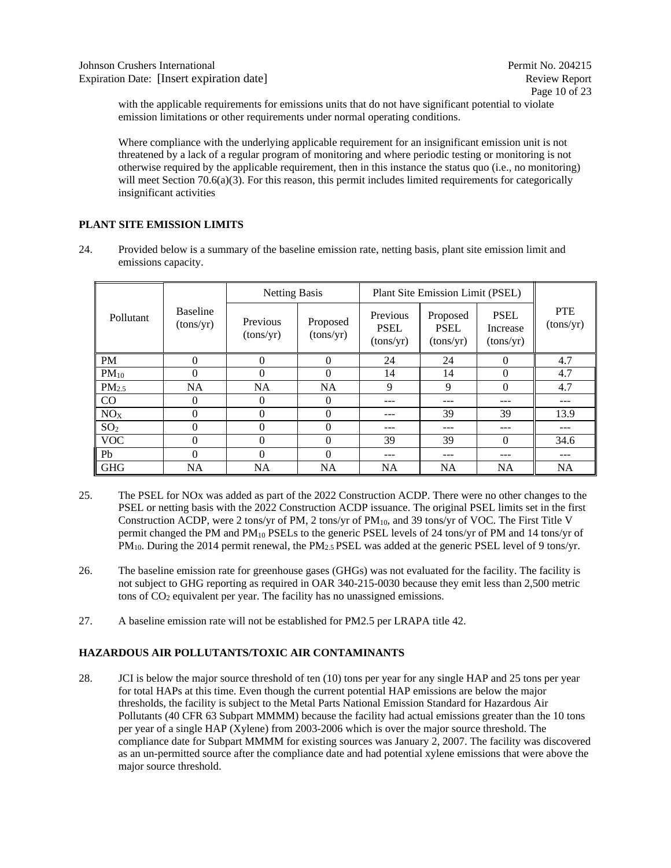with the applicable requirements for emissions units that do not have significant potential to violate emission limitations or other requirements under normal operating conditions.

Where compliance with the underlying applicable requirement for an insignificant emission unit is not threatened by a lack of a regular program of monitoring and where periodic testing or monitoring is not otherwise required by the applicable requirement, then in this instance the status quo (i.e., no monitoring) will meet Section 70.6(a)(3). For this reason, this permit includes limited requirements for categorically insignificant activities

## <span id="page-9-0"></span>**PLANT SITE EMISSION LIMITS**

24. Provided below is a summary of the baseline emission rate, netting basis, plant site emission limit and emissions capacity.

|                   |                              | <b>Netting Basis</b>                           |           |                                      | Plant Site Emission Limit (PSEL)     |                                      |                         |  |  |  |
|-------------------|------------------------------|------------------------------------------------|-----------|--------------------------------------|--------------------------------------|--------------------------------------|-------------------------|--|--|--|
| Pollutant         | <b>Baseline</b><br>(tons/yr) | Previous<br>Proposed<br>(tons/yr)<br>(tons/yr) |           | Previous<br><b>PSEL</b><br>(tons/yr) | Proposed<br><b>PSEL</b><br>(tons/yr) | <b>PSEL</b><br>Increase<br>(tons/yr) | <b>PTE</b><br>(tons/yr) |  |  |  |
| <b>PM</b>         | $\Omega$                     | 0                                              | $\Omega$  | 24                                   | 24                                   | 0                                    | 4.7                     |  |  |  |
| $PM_{10}$         | $\theta$                     | 0                                              | $\Omega$  | 14                                   | 14                                   | $\theta$                             | 4.7                     |  |  |  |
| PM <sub>2.5</sub> | <b>NA</b>                    | <b>NA</b>                                      | <b>NA</b> | 9                                    | 9                                    | $\theta$                             | 4.7                     |  |  |  |
| CO                | 0                            | 0                                              | $\theta$  |                                      | ---                                  | ---                                  | ---                     |  |  |  |
| NO <sub>X</sub>   | $\theta$                     | 0                                              | $\theta$  |                                      | 39                                   | 39                                   | 13.9                    |  |  |  |
| SO <sub>2</sub>   | $\Omega$                     | 0                                              | $\Omega$  | ---                                  | ---                                  | ---                                  | ---                     |  |  |  |
| <b>VOC</b>        | $\theta$                     | 0                                              | $\Omega$  | 39                                   | 39                                   | $\theta$                             | 34.6                    |  |  |  |
| Pb                | $\Omega$                     | 0                                              | $\Omega$  |                                      |                                      |                                      | ---                     |  |  |  |
| <b>GHG</b>        | <b>NA</b>                    | <b>NA</b>                                      | <b>NA</b> | <b>NA</b>                            | <b>NA</b>                            | <b>NA</b>                            | <b>NA</b>               |  |  |  |

- 25. The PSEL for NOx was added as part of the 2022 Construction ACDP. There were no other changes to the PSEL or netting basis with the 2022 Construction ACDP issuance. The original PSEL limits set in the first Construction ACDP, were 2 tons/yr of PM, 2 tons/yr of  $PM_{10}$ , and 39 tons/yr of VOC. The First Title V permit changed the PM and  $PM_{10}$  PSELs to the generic PSEL levels of 24 tons/yr of PM and 14 tons/yr of PM<sub>10</sub>. During the 2014 permit renewal, the PM<sub>2.5</sub> PSEL was added at the generic PSEL level of 9 tons/yr.
- 26. The baseline emission rate for greenhouse gases (GHGs) was not evaluated for the facility. The facility is not subject to GHG reporting as required in OAR 340-215-0030 because they emit less than 2,500 metric tons of  $CO<sub>2</sub>$  equivalent per year. The facility has no unassigned emissions.
- 27. A baseline emission rate will not be established for PM2.5 per LRAPA title 42.

# <span id="page-9-1"></span>**HAZARDOUS AIR POLLUTANTS/TOXIC AIR CONTAMINANTS**

28. JCI is below the major source threshold of ten (10) tons per year for any single HAP and 25 tons per year for total HAPs at this time. Even though the current potential HAP emissions are below the major thresholds, the facility is subject to the Metal Parts National Emission Standard for Hazardous Air Pollutants (40 CFR 63 Subpart MMMM) because the facility had actual emissions greater than the 10 tons per year of a single HAP (Xylene) from 2003-2006 which is over the major source threshold. The compliance date for Subpart MMMM for existing sources was January 2, 2007. The facility was discovered as an un-permitted source after the compliance date and had potential xylene emissions that were above the major source threshold.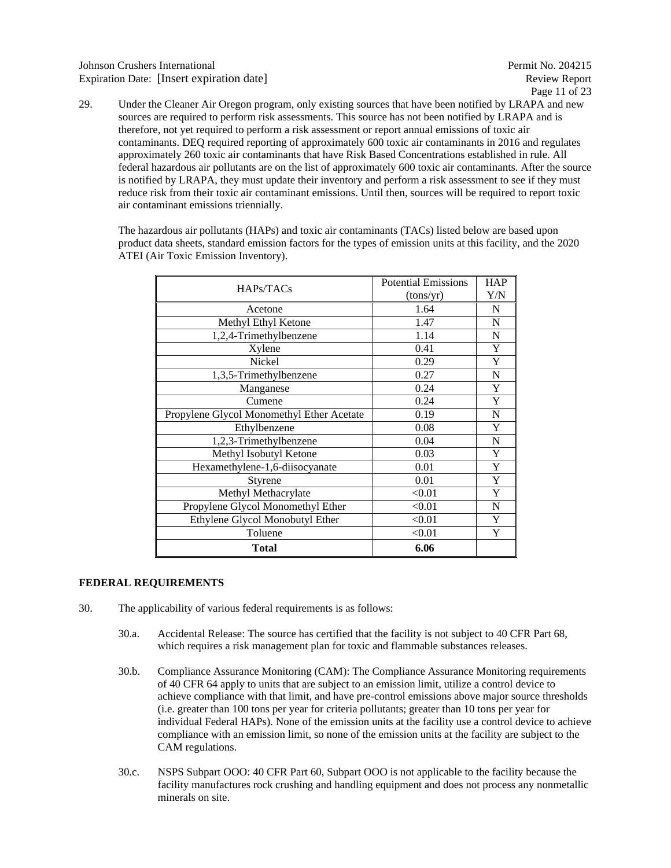### Johnson Crushers International Permit No. 204215 Expiration Date: [Insert expiration date] Review Report Review Report

29. Under the Cleaner Air Oregon program, only existing sources that have been notified by LRAPA and new sources are required to perform risk assessments. This source has not been notified by LRAPA and is therefore, not yet required to perform a risk assessment or report annual emissions of toxic air contaminants. DEQ required reporting of approximately 600 toxic air contaminants in 2016 and regulates approximately 260 toxic air contaminants that have Risk Based Concentrations established in rule. All federal hazardous air pollutants are on the list of approximately 600 toxic air contaminants. After the source is notified by LRAPA, they must update their inventory and perform a risk assessment to see if they must reduce risk from their toxic air contaminant emissions. Until then, sources will be required to report toxic air contaminant emissions triennially.

The hazardous air pollutants (HAPs) and toxic air contaminants (TACs) listed below are based upon product data sheets, standard emission factors for the types of emission units at this facility, and the 2020 ATEI (Air Toxic Emission Inventory).

| HAPs/TACs                                 | <b>Potential Emissions</b> | <b>HAP</b> |
|-------------------------------------------|----------------------------|------------|
|                                           | (tons/yr)                  | Y/N        |
| Acetone                                   | 1.64                       | N          |
| Methyl Ethyl Ketone                       | 1.47                       | N          |
| 1,2,4-Trimethylbenzene                    | 1.14                       | N          |
| Xylene                                    | 0.41                       | Y          |
| <b>Nickel</b>                             | 0.29                       | Y          |
| 1,3,5-Trimethylbenzene                    | 0.27                       | N          |
| Manganese                                 | 0.24                       | Y          |
| Cumene                                    | 0.24                       | Y          |
| Propylene Glycol Monomethyl Ether Acetate | 0.19                       | N          |
| Ethylbenzene                              | 0.08                       | Y          |
| 1,2,3-Trimethylbenzene                    | 0.04                       | N          |
| Methyl Isobutyl Ketone                    | 0.03                       | Y          |
| Hexamethylene-1,6-diisocyanate            | 0.01                       | Y          |
| Styrene                                   | 0.01                       | Y          |
| Methyl Methacrylate                       | < 0.01                     | Y          |
| Propylene Glycol Monomethyl Ether         | < 0.01                     | N          |
| Ethylene Glycol Monobutyl Ether           | < 0.01                     | Y          |
| Toluene                                   | < 0.01                     | Y          |
| Total                                     | 6.06                       |            |

#### <span id="page-10-0"></span>**FEDERAL REQUIREMENTS**

- 30. The applicability of various federal requirements is as follows:
	- 30.a. Accidental Release: The source has certified that the facility is not subject to 40 CFR Part 68, which requires a risk management plan for toxic and flammable substances releases.
	- 30.b. Compliance Assurance Monitoring (CAM): The Compliance Assurance Monitoring requirements of 40 CFR 64 apply to units that are subject to an emission limit, utilize a control device to achieve compliance with that limit, and have pre-control emissions above major source thresholds (i.e. greater than 100 tons per year for criteria pollutants; greater than 10 tons per year for individual Federal HAPs). None of the emission units at the facility use a control device to achieve compliance with an emission limit, so none of the emission units at the facility are subject to the CAM regulations.
	- 30.c. NSPS Subpart OOO: 40 CFR Part 60, Subpart OOO is not applicable to the facility because the facility manufactures rock crushing and handling equipment and does not process any nonmetallic minerals on site.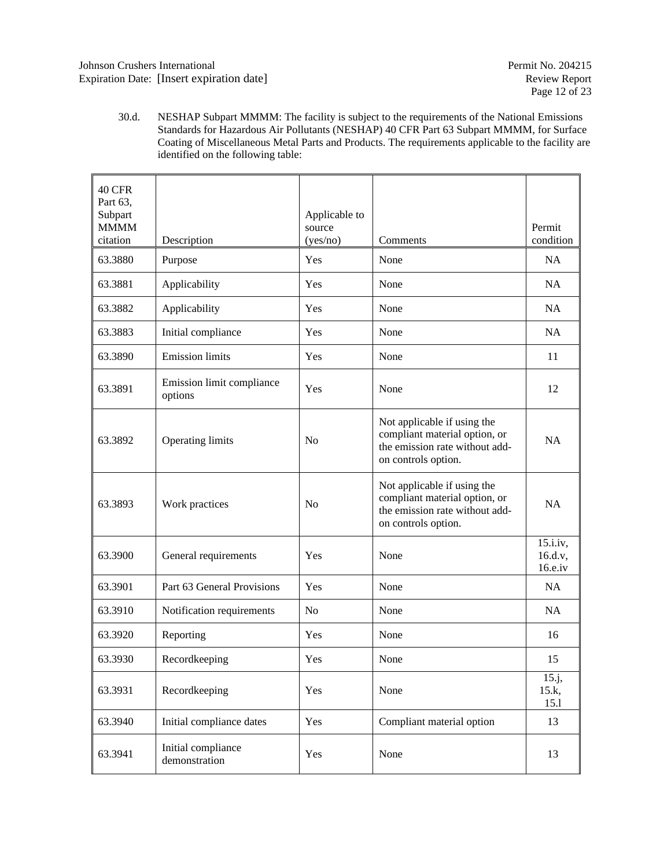30.d. NESHAP Subpart MMMM: The facility is subject to the requirements of the National Emissions Standards for Hazardous Air Pollutants (NESHAP) 40 CFR Part 63 Subpart MMMM, for Surface Coating of Miscellaneous Metal Parts and Products. The requirements applicable to the facility are identified on the following table:

| <b>40 CFR</b><br>Part 63,<br>Subpart<br><b>MMMM</b><br>citation |                                      | Applicable to<br>source |                                                                                                                       | Permit<br>condition               |
|-----------------------------------------------------------------|--------------------------------------|-------------------------|-----------------------------------------------------------------------------------------------------------------------|-----------------------------------|
| 63.3880                                                         | Description<br>Purpose               | (yes/no)<br>Yes         | Comments<br>None                                                                                                      | NA                                |
| 63.3881                                                         | Applicability                        | Yes                     | None                                                                                                                  | <b>NA</b>                         |
|                                                                 |                                      |                         |                                                                                                                       |                                   |
| 63.3882                                                         | Applicability                        | Yes                     | None                                                                                                                  | NA                                |
| 63.3883                                                         | Initial compliance                   | Yes                     | None                                                                                                                  | NA                                |
| 63.3890                                                         | <b>Emission</b> limits               | Yes                     | None                                                                                                                  | 11                                |
| 63.3891                                                         | Emission limit compliance<br>options | Yes                     | None                                                                                                                  | 12                                |
| 63.3892                                                         | Operating limits                     | N <sub>0</sub>          | Not applicable if using the<br>compliant material option, or<br>the emission rate without add-<br>on controls option. | <b>NA</b>                         |
| 63.3893                                                         | Work practices                       | N <sub>0</sub>          | Not applicable if using the<br>compliant material option, or<br>the emission rate without add-<br>on controls option. | <b>NA</b>                         |
| 63.3900                                                         | General requirements                 | Yes                     | None                                                                                                                  | 15.i.iv,<br>16.d.v,<br>$16.e.$ iv |
| 63.3901                                                         | Part 63 General Provisions           | Yes                     | None                                                                                                                  | <b>NA</b>                         |
| 63.3910                                                         | Notification requirements            | N <sub>0</sub>          | None                                                                                                                  | NA                                |
| 63.3920                                                         | Reporting                            | Yes                     | None                                                                                                                  | 16                                |
| 63.3930                                                         | Recordkeeping                        | Yes                     | None                                                                                                                  | 15                                |
| 63.3931                                                         | Recordkeeping                        | Yes                     | None                                                                                                                  | 15.j,<br>15.k,<br>15.1            |
| 63.3940                                                         | Initial compliance dates             | Yes                     | Compliant material option                                                                                             | 13                                |
| 63.3941                                                         | Initial compliance<br>demonstration  | Yes                     | None                                                                                                                  | 13                                |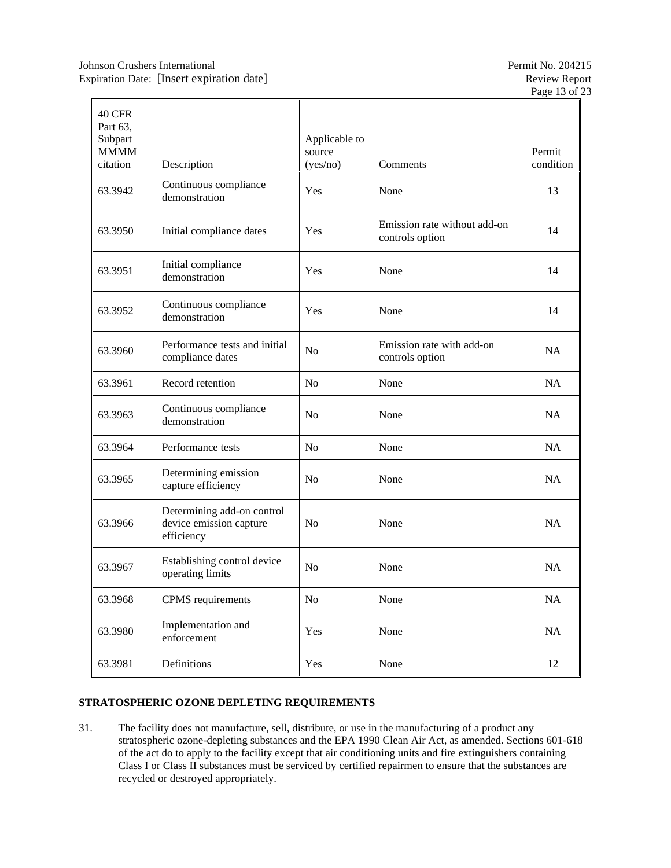| <b>40 CFR</b><br>Part 63,          |                                                                     |                                     |                                                 |                     |
|------------------------------------|---------------------------------------------------------------------|-------------------------------------|-------------------------------------------------|---------------------|
| Subpart<br><b>MMMM</b><br>citation | Description                                                         | Applicable to<br>source<br>(yes/no) | Comments                                        | Permit<br>condition |
| 63.3942                            | Continuous compliance<br>demonstration                              | <b>Yes</b>                          | None                                            | 13                  |
| 63.3950                            | Initial compliance dates                                            | <b>Yes</b>                          | Emission rate without add-on<br>controls option | 14                  |
| 63.3951                            | Initial compliance<br>demonstration                                 | Yes                                 | None                                            | 14                  |
| 63.3952                            | Continuous compliance<br>demonstration                              | <b>Yes</b>                          | None                                            | 14                  |
| 63.3960                            | Performance tests and initial<br>compliance dates                   | N <sub>o</sub>                      | Emission rate with add-on<br>controls option    | <b>NA</b>           |
| 63.3961                            | Record retention                                                    | N <sub>0</sub>                      | None                                            | NA                  |
| 63.3963                            | Continuous compliance<br>demonstration                              | N <sub>o</sub>                      | None                                            | NA                  |
| 63.3964                            | Performance tests                                                   | N <sub>o</sub>                      | None                                            | NA                  |
| 63.3965                            | Determining emission<br>capture efficiency                          | N <sub>0</sub>                      | None                                            | NA                  |
| 63.3966                            | Determining add-on control<br>device emission capture<br>efficiency | No                                  | None                                            | NA                  |
| 63.3967                            | Establishing control device<br>operating limits                     | N <sub>0</sub>                      | None                                            | <b>NA</b>           |
| 63.3968                            | CPMS requirements                                                   | No                                  | None                                            | $\rm NA$            |
| 63.3980                            | Implementation and<br>enforcement                                   | Yes                                 | None                                            | NA                  |
| 63.3981                            | Definitions                                                         | Yes                                 | None                                            | 12                  |

# <span id="page-12-0"></span>**STRATOSPHERIC OZONE DEPLETING REQUIREMENTS**

31. The facility does not manufacture, sell, distribute, or use in the manufacturing of a product any stratospheric ozone-depleting substances and the EPA 1990 Clean Air Act, as amended. Sections 601-618 of the act do to apply to the facility except that air conditioning units and fire extinguishers containing Class I or Class II substances must be serviced by certified repairmen to ensure that the substances are recycled or destroyed appropriately.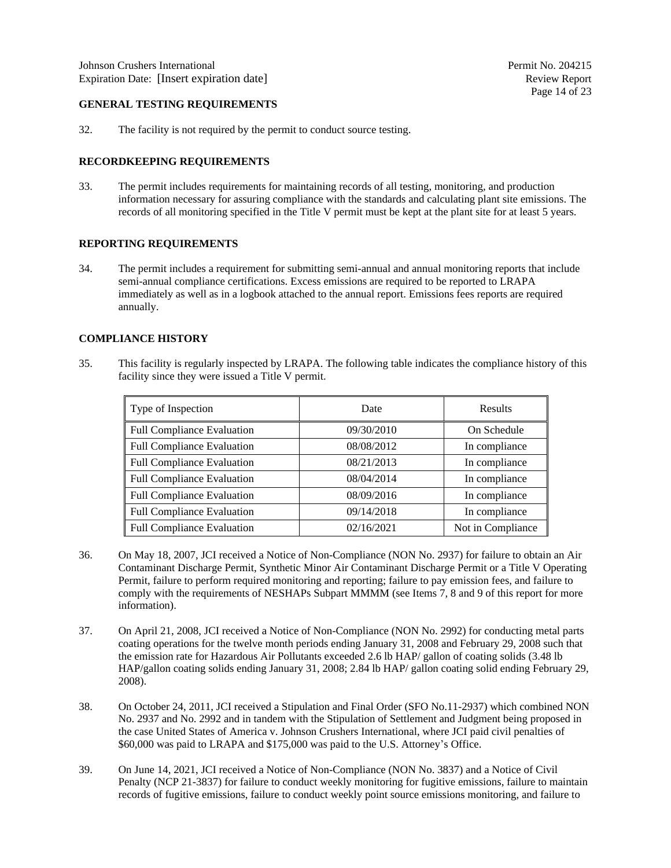#### <span id="page-13-0"></span>**GENERAL TESTING REQUIREMENTS**

32. The facility is not required by the permit to conduct source testing.

#### <span id="page-13-1"></span>**RECORDKEEPING REQUIREMENTS**

33. The permit includes requirements for maintaining records of all testing, monitoring, and production information necessary for assuring compliance with the standards and calculating plant site emissions. The records of all monitoring specified in the Title V permit must be kept at the plant site for at least 5 years.

#### <span id="page-13-2"></span>**REPORTING REQUIREMENTS**

34. The permit includes a requirement for submitting semi-annual and annual monitoring reports that include semi-annual compliance certifications. Excess emissions are required to be reported to LRAPA immediately as well as in a logbook attached to the annual report. Emissions fees reports are required annually.

#### <span id="page-13-3"></span>**COMPLIANCE HISTORY**

35. This facility is regularly inspected by LRAPA. The following table indicates the compliance history of this facility since they were issued a Title V permit.

| Type of Inspection                | Date       | <b>Results</b>    |
|-----------------------------------|------------|-------------------|
| <b>Full Compliance Evaluation</b> | 09/30/2010 | On Schedule       |
| <b>Full Compliance Evaluation</b> | 08/08/2012 | In compliance     |
| <b>Full Compliance Evaluation</b> | 08/21/2013 | In compliance     |
| <b>Full Compliance Evaluation</b> | 08/04/2014 | In compliance     |
| <b>Full Compliance Evaluation</b> | 08/09/2016 | In compliance     |
| <b>Full Compliance Evaluation</b> | 09/14/2018 | In compliance     |
| <b>Full Compliance Evaluation</b> | 02/16/2021 | Not in Compliance |

- 36. On May 18, 2007, JCI received a Notice of Non-Compliance (NON No. 2937) for failure to obtain an Air Contaminant Discharge Permit, Synthetic Minor Air Contaminant Discharge Permit or a Title V Operating Permit, failure to perform required monitoring and reporting; failure to pay emission fees, and failure to comply with the requirements of NESHAPs Subpart MMMM (see Items 7, 8 and 9 of this report for more information).
- 37. On April 21, 2008, JCI received a Notice of Non-Compliance (NON No. 2992) for conducting metal parts coating operations for the twelve month periods ending January 31, 2008 and February 29, 2008 such that the emission rate for Hazardous Air Pollutants exceeded 2.6 lb HAP/ gallon of coating solids (3.48 lb HAP/gallon coating solids ending January 31, 2008; 2.84 lb HAP/ gallon coating solid ending February 29, 2008).
- 38. On October 24, 2011, JCI received a Stipulation and Final Order (SFO No.11-2937) which combined NON No. 2937 and No. 2992 and in tandem with the Stipulation of Settlement and Judgment being proposed in the case United States of America v. Johnson Crushers International, where JCI paid civil penalties of \$60,000 was paid to LRAPA and \$175,000 was paid to the U.S. Attorney's Office.
- 39. On June 14, 2021, JCI received a Notice of Non-Compliance (NON No. 3837) and a Notice of Civil Penalty (NCP 21-3837) for failure to conduct weekly monitoring for fugitive emissions, failure to maintain records of fugitive emissions, failure to conduct weekly point source emissions monitoring, and failure to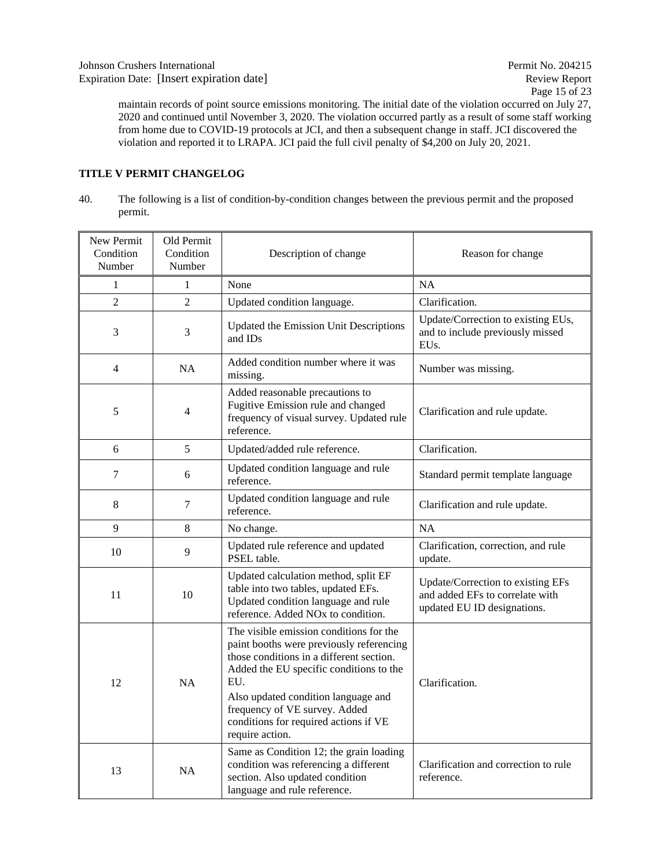maintain records of point source emissions monitoring. The initial date of the violation occurred on July 27, 2020 and continued until November 3, 2020. The violation occurred partly as a result of some staff working from home due to COVID-19 protocols at JCI, and then a subsequent change in staff. JCI discovered the violation and reported it to LRAPA. JCI paid the full civil penalty of \$4,200 on July 20, 2021.

### <span id="page-14-0"></span>**TITLE V PERMIT CHANGELOG**

40. The following is a list of condition-by-condition changes between the previous permit and the proposed permit.

| New Permit<br>Condition<br>Number | Old Permit<br>Condition<br>Number | Description of change                                                                                                                                                                                                                                                                                                 | Reason for change                                                                                   |  |  |  |
|-----------------------------------|-----------------------------------|-----------------------------------------------------------------------------------------------------------------------------------------------------------------------------------------------------------------------------------------------------------------------------------------------------------------------|-----------------------------------------------------------------------------------------------------|--|--|--|
| 1                                 | 1                                 | None                                                                                                                                                                                                                                                                                                                  | <b>NA</b>                                                                                           |  |  |  |
| $\overline{2}$                    | $\overline{2}$                    | Updated condition language.                                                                                                                                                                                                                                                                                           | Clarification.                                                                                      |  |  |  |
| 3                                 | 3                                 | <b>Updated the Emission Unit Descriptions</b><br>and IDs                                                                                                                                                                                                                                                              | Update/Correction to existing EUs,<br>and to include previously missed<br>EU <sub>s</sub> .         |  |  |  |
| $\overline{4}$                    | <b>NA</b>                         | Added condition number where it was<br>missing.                                                                                                                                                                                                                                                                       | Number was missing.                                                                                 |  |  |  |
| 5                                 | 4                                 | Added reasonable precautions to<br>Fugitive Emission rule and changed<br>frequency of visual survey. Updated rule<br>reference.                                                                                                                                                                                       | Clarification and rule update.                                                                      |  |  |  |
| 6                                 | 5                                 | Updated/added rule reference.                                                                                                                                                                                                                                                                                         | Clarification.                                                                                      |  |  |  |
| 7                                 | 6                                 | Updated condition language and rule<br>reference.                                                                                                                                                                                                                                                                     | Standard permit template language                                                                   |  |  |  |
| $8\,$                             | 7                                 | Updated condition language and rule<br>reference.                                                                                                                                                                                                                                                                     | Clarification and rule update.                                                                      |  |  |  |
| 9                                 | 8                                 | No change.                                                                                                                                                                                                                                                                                                            | <b>NA</b>                                                                                           |  |  |  |
| 10                                | 9                                 | Updated rule reference and updated<br>PSEL table.                                                                                                                                                                                                                                                                     | Clarification, correction, and rule<br>update.                                                      |  |  |  |
| 11                                | 10                                | Updated calculation method, split EF<br>table into two tables, updated EFs.<br>Updated condition language and rule<br>reference. Added NO <sub>x</sub> to condition.                                                                                                                                                  | Update/Correction to existing EFs<br>and added EFs to correlate with<br>updated EU ID designations. |  |  |  |
| 12                                | NA                                | The visible emission conditions for the<br>paint booths were previously referencing<br>those conditions in a different section.<br>Added the EU specific conditions to the<br>EU.<br>Also updated condition language and<br>frequency of VE survey. Added<br>conditions for required actions if VE<br>require action. | Clarification.                                                                                      |  |  |  |
| 13                                | <b>NA</b>                         | Same as Condition 12; the grain loading<br>condition was referencing a different<br>section. Also updated condition<br>language and rule reference.                                                                                                                                                                   | Clarification and correction to rule<br>reference.                                                  |  |  |  |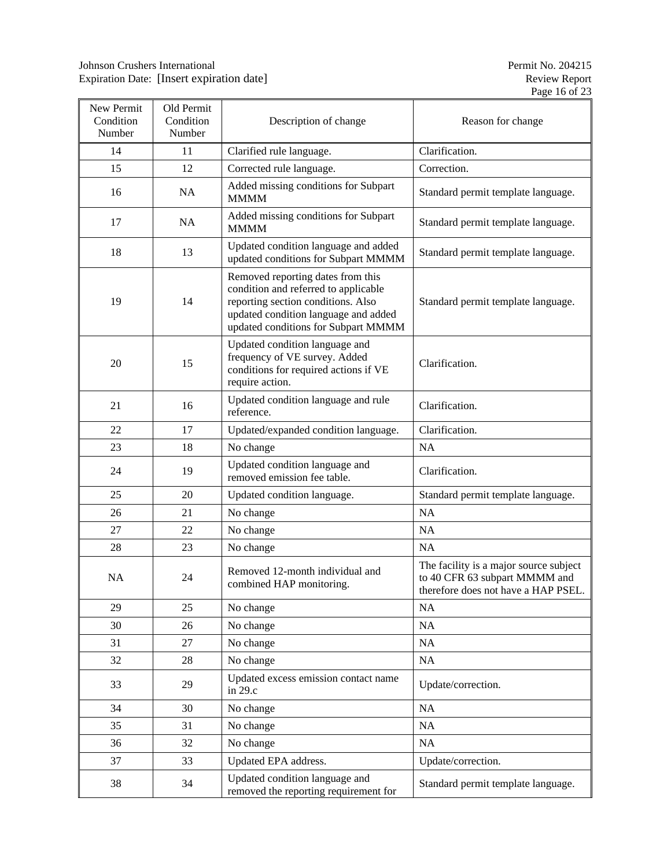| New Permit<br>Condition<br>Number | Old Permit<br>Condition<br>Number | Description of change                                                                                                                                                                          | Reason for change                                                                                              |  |  |  |  |
|-----------------------------------|-----------------------------------|------------------------------------------------------------------------------------------------------------------------------------------------------------------------------------------------|----------------------------------------------------------------------------------------------------------------|--|--|--|--|
| 14                                | 11                                | Clarified rule language.                                                                                                                                                                       | Clarification.                                                                                                 |  |  |  |  |
| 15                                | 12                                | Corrected rule language.                                                                                                                                                                       | Correction.                                                                                                    |  |  |  |  |
| 16                                | NA                                | Added missing conditions for Subpart<br><b>MMMM</b>                                                                                                                                            | Standard permit template language.                                                                             |  |  |  |  |
| 17                                | NA                                | Added missing conditions for Subpart<br><b>MMMM</b>                                                                                                                                            | Standard permit template language.                                                                             |  |  |  |  |
| 18                                | 13                                | Updated condition language and added<br>updated conditions for Subpart MMMM                                                                                                                    | Standard permit template language.                                                                             |  |  |  |  |
| 19                                | 14                                | Removed reporting dates from this<br>condition and referred to applicable<br>reporting section conditions. Also<br>updated condition language and added<br>updated conditions for Subpart MMMM | Standard permit template language.                                                                             |  |  |  |  |
| 20                                | 15                                | Updated condition language and<br>frequency of VE survey. Added<br>conditions for required actions if VE<br>require action.                                                                    | Clarification.                                                                                                 |  |  |  |  |
| 21                                | 16                                | Updated condition language and rule<br>reference.                                                                                                                                              | Clarification.                                                                                                 |  |  |  |  |
| 22                                | 17                                | Updated/expanded condition language.                                                                                                                                                           | Clarification.                                                                                                 |  |  |  |  |
| 23                                | 18                                | No change                                                                                                                                                                                      | <b>NA</b>                                                                                                      |  |  |  |  |
| 24                                | 19                                | Updated condition language and<br>removed emission fee table.                                                                                                                                  | Clarification.                                                                                                 |  |  |  |  |
| 25                                | 20                                | Updated condition language.                                                                                                                                                                    | Standard permit template language.                                                                             |  |  |  |  |
| 26                                | 21                                | No change                                                                                                                                                                                      | NA                                                                                                             |  |  |  |  |
| 27                                | 22                                | No change                                                                                                                                                                                      | <b>NA</b>                                                                                                      |  |  |  |  |
| 28                                | 23                                | No change                                                                                                                                                                                      | <b>NA</b>                                                                                                      |  |  |  |  |
| NA                                | 24                                | Removed 12-month individual and<br>combined HAP monitoring.                                                                                                                                    | The facility is a major source subject<br>to 40 CFR 63 subpart MMMM and<br>therefore does not have a HAP PSEL. |  |  |  |  |
| 29                                | 25                                | No change                                                                                                                                                                                      | NA                                                                                                             |  |  |  |  |
| 30                                | 26                                | No change                                                                                                                                                                                      | NA                                                                                                             |  |  |  |  |
| 31                                | 27                                | No change                                                                                                                                                                                      | NA                                                                                                             |  |  |  |  |
| 32                                | 28                                | No change                                                                                                                                                                                      | NA                                                                                                             |  |  |  |  |
| 33                                | 29                                | Updated excess emission contact name<br>in 29.c                                                                                                                                                | Update/correction.                                                                                             |  |  |  |  |
| 34                                | 30                                | No change                                                                                                                                                                                      | $\rm NA$                                                                                                       |  |  |  |  |
| 35                                | 31                                | No change                                                                                                                                                                                      | NA                                                                                                             |  |  |  |  |
| 36                                | 32                                | No change                                                                                                                                                                                      | NA                                                                                                             |  |  |  |  |
| 37                                | 33                                | Updated EPA address.                                                                                                                                                                           | Update/correction.                                                                                             |  |  |  |  |
| 38                                | 34                                | Updated condition language and<br>removed the reporting requirement for                                                                                                                        | Standard permit template language.                                                                             |  |  |  |  |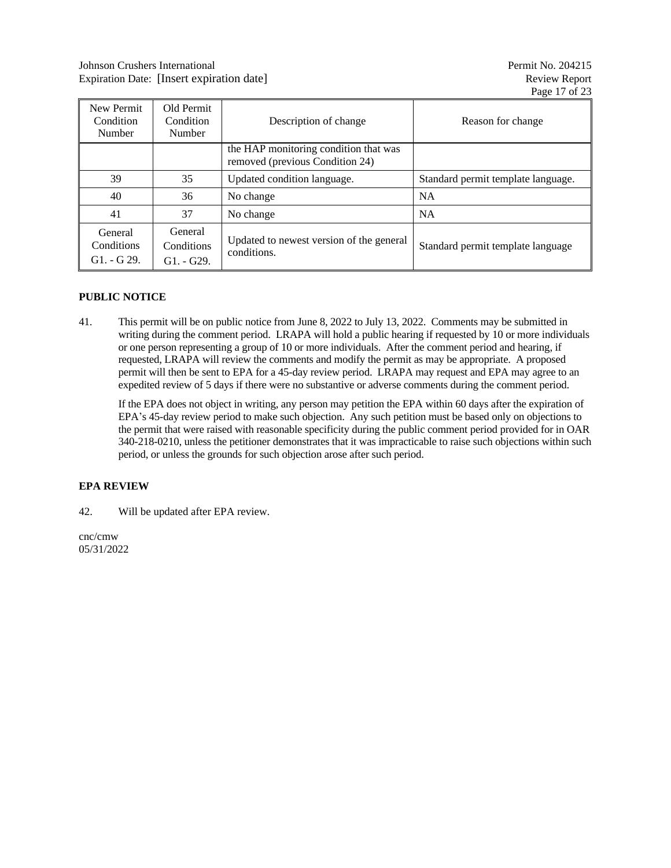| New Permit<br>Condition<br>Number            | Old Permit<br>Condition<br>Number     | Description of change                                                    | Reason for change                  |
|----------------------------------------------|---------------------------------------|--------------------------------------------------------------------------|------------------------------------|
|                                              |                                       | the HAP monitoring condition that was<br>removed (previous Condition 24) |                                    |
| 39                                           | 35                                    | Updated condition language.                                              | Standard permit template language. |
| 40                                           | 36                                    | No change                                                                | <b>NA</b>                          |
| 41                                           | 37                                    | No change                                                                | <b>NA</b>                          |
| General<br><b>Conditions</b><br>$G1. - G29.$ | General<br>Conditions<br>$G1. - G29.$ | Updated to newest version of the general<br>conditions.                  | Standard permit template language  |

### <span id="page-16-0"></span>**PUBLIC NOTICE**

41. This permit will be on public notice from June 8, 2022 to July 13, 2022. Comments may be submitted in writing during the comment period. LRAPA will hold a public hearing if requested by 10 or more individuals or one person representing a group of 10 or more individuals. After the comment period and hearing, if requested, LRAPA will review the comments and modify the permit as may be appropriate. A proposed permit will then be sent to EPA for a 45-day review period. LRAPA may request and EPA may agree to an expedited review of 5 days if there were no substantive or adverse comments during the comment period.

If the EPA does not object in writing, any person may petition the EPA within 60 days after the expiration of EPA's 45-day review period to make such objection. Any such petition must be based only on objections to the permit that were raised with reasonable specificity during the public comment period provided for in OAR 340-218-0210, unless the petitioner demonstrates that it was impracticable to raise such objections within such period, or unless the grounds for such objection arose after such period.

# <span id="page-16-1"></span>**EPA REVIEW**

42. Will be updated after EPA review.

cnc/cmw 05/31/2022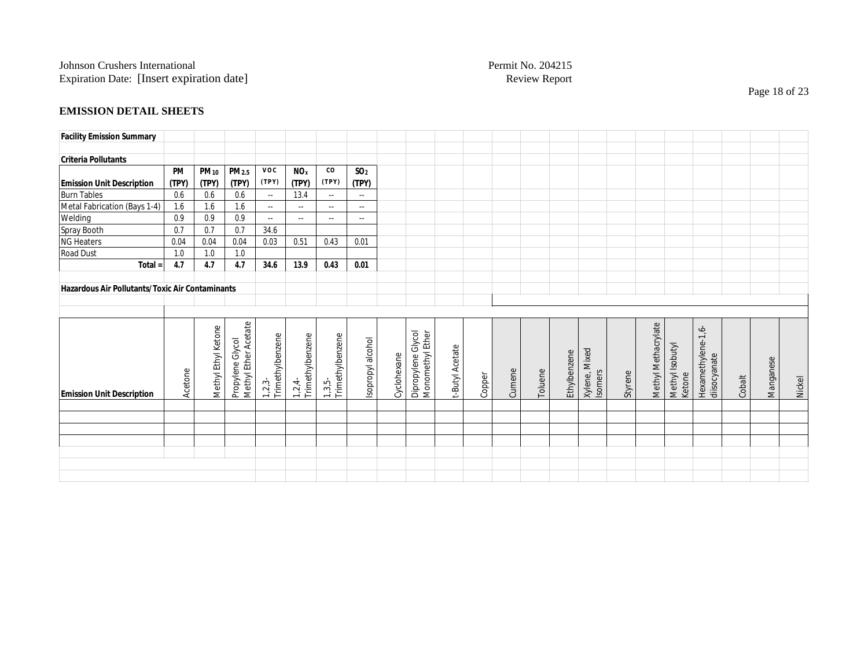# **EMISSION DETAIL SHEETS**

| <b>Facility Emission Summary</b>                       |           |                     |                      |                              |                              |                            |                   |             |                                        |                 |        |        |         |              |                          |         |                     |                           |                                    |        |           |        |
|--------------------------------------------------------|-----------|---------------------|----------------------|------------------------------|------------------------------|----------------------------|-------------------|-------------|----------------------------------------|-----------------|--------|--------|---------|--------------|--------------------------|---------|---------------------|---------------------------|------------------------------------|--------|-----------|--------|
|                                                        |           |                     |                      |                              |                              |                            |                   |             |                                        |                 |        |        |         |              |                          |         |                     |                           |                                    |        |           |        |
| <b>Criteria Pollutants</b>                             |           |                     |                      |                              |                              |                            |                   |             |                                        |                 |        |        |         |              |                          |         |                     |                           |                                    |        |           |        |
|                                                        | <b>PM</b> | <b>PM10</b>         | PM <sub>2.5</sub>    | <b>VOC</b>                   | <b>NO</b> <sub>x</sub>       | co                         | SO <sub>2</sub>   |             |                                        |                 |        |        |         |              |                          |         |                     |                           |                                    |        |           |        |
| <b>Emission Unit Description</b>                       | (TPY)     | (TPY)               | (TPY)                | (TPY)                        | (TPY)                        | (TPY)                      | (TPY)             |             |                                        |                 |        |        |         |              |                          |         |                     |                           |                                    |        |           |        |
| <b>Burn Tables</b>                                     | 0.6       | 0.6                 | 0.6                  | $\sim$ $\sim$                | 13.4                         | $\sim$ $\sim$              | $\sim$            |             |                                        |                 |        |        |         |              |                          |         |                     |                           |                                    |        |           |        |
| Metal Fabrication (Bays 1-4)                           | 1.6       | 1.6                 | 1.6                  | $\sim$ $\sim$                | $\sim$ $\sim$                | $\sim$ $\sim$              | $\sim$ $\sim$     |             |                                        |                 |        |        |         |              |                          |         |                     |                           |                                    |        |           |        |
| Welding                                                | 0.9       | 0.9                 | 0.9                  | $\sim$ $\sim$                | $\sim$ $\sim$                | $\overline{\phantom{a}}$   | $\sim$ $\sim$     |             |                                        |                 |        |        |         |              |                          |         |                     |                           |                                    |        |           |        |
| Spray Booth                                            | 0.7       | 0.7                 | 0.7                  | 34.6                         |                              |                            |                   |             |                                        |                 |        |        |         |              |                          |         |                     |                           |                                    |        |           |        |
| <b>NG Heaters</b>                                      | 0.04      | 0.04                | 0.04                 | 0.03                         | 0.51                         | 0.43                       | 0.01              |             |                                        |                 |        |        |         |              |                          |         |                     |                           |                                    |        |           |        |
| Road Dust                                              | 1.0       | 1.0                 | 1.0                  |                              |                              |                            |                   |             |                                        |                 |        |        |         |              |                          |         |                     |                           |                                    |        |           |        |
| Total =                                                | 4.7       | 4.7                 | 4.7                  | 34.6                         | 13.9                         | 0.43                       | 0.01              |             |                                        |                 |        |        |         |              |                          |         |                     |                           |                                    |        |           |        |
|                                                        |           |                     |                      |                              |                              |                            |                   |             |                                        |                 |        |        |         |              |                          |         |                     |                           |                                    |        |           |        |
| <b>Hazardous Air Pollutants/Toxic Air Contaminants</b> |           |                     |                      |                              |                              |                            |                   |             |                                        |                 |        |        |         |              |                          |         |                     |                           |                                    |        |           |        |
|                                                        |           |                     |                      |                              |                              |                            |                   |             |                                        |                 |        |        |         |              |                          |         |                     |                           |                                    |        |           |        |
|                                                        |           |                     |                      |                              |                              |                            |                   |             |                                        |                 |        |        |         |              |                          |         |                     |                           |                                    |        |           |        |
|                                                        |           |                     | Methyl Ether Acetate |                              |                              |                            |                   |             |                                        |                 |        |        |         |              |                          |         | Methyl Methacrylate |                           | Hexamethylene-1,6-<br>diisocyanate |        |           |        |
|                                                        |           |                     |                      |                              |                              |                            |                   |             |                                        |                 |        |        |         |              |                          |         |                     |                           |                                    |        |           |        |
|                                                        |           |                     |                      |                              |                              |                            |                   |             |                                        |                 |        |        |         |              |                          |         |                     |                           |                                    |        |           |        |
|                                                        |           |                     |                      |                              |                              |                            |                   |             |                                        |                 |        |        |         |              |                          |         |                     |                           |                                    |        |           |        |
|                                                        |           |                     |                      |                              |                              |                            |                   |             |                                        |                 |        |        |         |              |                          |         |                     |                           |                                    |        |           |        |
| <b>Emission Unit Description</b>                       | Acetone   | Methyl Ethyl Ketone | Propylene Glycol     | Trimethylbenzene<br>$1,2,3-$ | Trimethylbenzene<br>$1,2,4-$ | 1,3,5-<br>Trimethylbenzene | Isopropyl alcohol | Cyclohexane | Dipropylene Glycol<br>Monomethyl Ether | t-Butyl Acetate | Copper | Cumene | Toluene | Ethylbenzene | Xylene, Mixed<br>Isomers | Styrene |                     | Methyl Isobutyl<br>Ketone |                                    | Cobalt | Manganese | Nickel |
|                                                        |           |                     |                      |                              |                              |                            |                   |             |                                        |                 |        |        |         |              |                          |         |                     |                           |                                    |        |           |        |
|                                                        |           |                     |                      |                              |                              |                            |                   |             |                                        |                 |        |        |         |              |                          |         |                     |                           |                                    |        |           |        |
|                                                        |           |                     |                      |                              |                              |                            |                   |             |                                        |                 |        |        |         |              |                          |         |                     |                           |                                    |        |           |        |
|                                                        |           |                     |                      |                              |                              |                            |                   |             |                                        |                 |        |        |         |              |                          |         |                     |                           |                                    |        |           |        |
|                                                        |           |                     |                      |                              |                              |                            |                   |             |                                        |                 |        |        |         |              |                          |         |                     |                           |                                    |        |           |        |
|                                                        |           |                     |                      |                              |                              |                            |                   |             |                                        |                 |        |        |         |              |                          |         |                     |                           |                                    |        |           |        |
|                                                        |           |                     |                      |                              |                              |                            |                   |             |                                        |                 |        |        |         |              |                          |         |                     |                           |                                    |        |           |        |

Page 18 of 23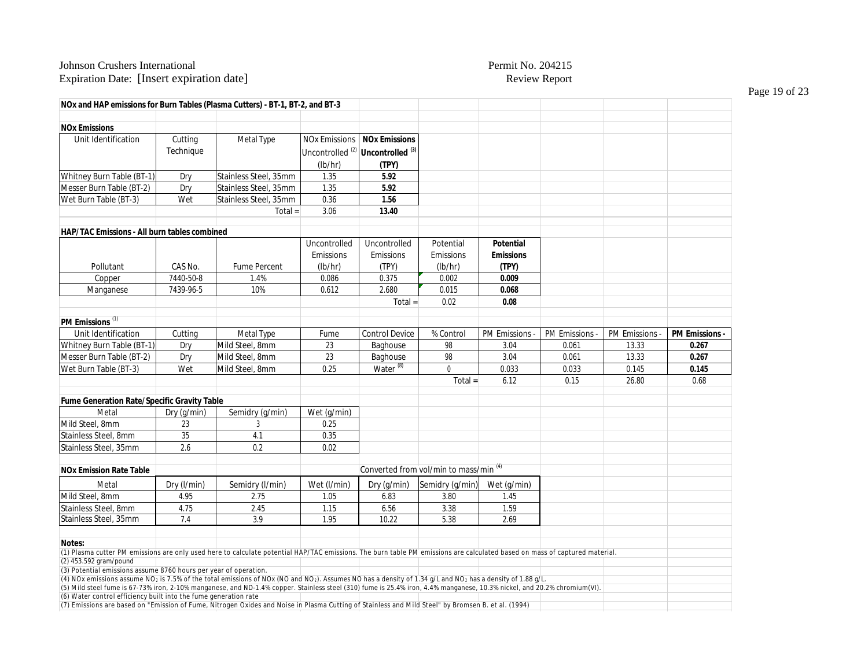#### Johnson Crushers International Permit No. 204215 Expiration Date: [Insert expiration date] The expiration of the expiration of the Review Report

**NOx and HAP emissions for Burn Tables (Plasma Cutters) - BT-1, BT-2, and BT-3**

**NOx Emissions** Unit Identification | Cutting Technique Metal Type | NOx Emissions Uncontrolled<sup>(2)</sup> (lb/hr) **NOx Emissions Uncontrolled (3) (TPY)** Whitney Burn Table (BT-1) Dry Stainless Steel, 35mm 1.35 **5.92** Messer Burn Table (BT-2) Dry Stainless Steel, 35mm 1.35 **5.92** Wet Burn Table (BT-3)  $\vert$  Wet Stainless Steel, 35mm 0.36  $\vert$  1.56 Total = 3.06 **13.40 HAP/TAC Emissions - All burn tables combined** Pollutant CAS No. Fume Percent Uncontrolled Emissions (lb/hr) Uncontrolled Emissions (TPY) Potential Emissions (lb/hr) **Potential Emissions (TPY)** Copper 7440-50-8 1.4% 0.086 0.375 0.002 **0.009** Manganese | 7439-96-5 | 10% | 0.612 | 2.680 | 0.015 | **0.068** Total = 0.02 **0.08 PM Emissions** (1) Unit Identification | Cutting | Metal Type | Fume | Control Device | % Control | PM Emissions - | PM Emissions - | P**M Emissions -** | PM Emissions - | PM Emissions - | PM Emissions - | PM Emissions - | PM Emissions - | PM Whitney Burn Table (BT-1) Dry Mild Steel, 8mm 23 Baghouse 98 3.04 0.061 13.33 **0.267** Messer Burn Table (BT-2) Dry Mild Steel, 8mm 23 Baghouse 98 3.04 0.061 13.33 **0.267** Wet Burn Table (BT-3) | Wet Mild Steel, 8mm | 0.25 | Water <sup>(8)</sup> | 0 | 0.033 | 0.033 | 0.145 | **0.145** Total = 6.12 0.15 26.80 0.68 **Fume Generation Rate/Specific Gravity Table** Metal Dry (g/min) Semidry (g/min) Wet (g/min) Mild Steel, 8mm 23 3 3 0.25 Stainless Steel, 8mm 35 4.1 0.35 Stainless Steel, 35mm 2.6 0.2 0.2 0.02 **NOx Emission Rate Table Converted from vol/min to mass/min<sup>(4)</sup>** Converted from vol/min to mass/min<sup>(4)</sup> Metal Dry (l/min) Semidry (l/min) Wet (l/min) Dry (g/min) Semidry (g/min) Wet (g/min) Mild Steel, 8mm 4.95 2.75 | 1.05 | 6.83 | 3.80 | 1.45 Stainless Steel, 8mm 4.75 2.45 1.15 6.56 3.38 1.59<br>Stainless Steel, 35mm 7.4 3.9 1.95 10.22 5.38 2.69 Stainless Steel, 35mm **Notes:** (1) Plasma cutter PM emissions are only used here to calculate potential HAP/TAC emissions. The burn table PM emissions are calculated based on mass of captured material. (2) 453.592 gram/pound

(3) Potential emissions assume 8760 hours per year of operation.

(4) NOx emissions assume NO<sub>2</sub> is 7.5% of the total emissions of NOx (NO and NO<sub>2</sub>). Assumes NO has a density of 1.34 g/L and NO<sub>2</sub> has a density of 1.88 g/L. (5) Mild steel fume is 67-73% iron, 2-10% manganese, and ND-1.4% copper. Stainless steel (310) fume is 25.4% iron, 4.4% manganese, 10.3% nickel, and 20.2% chromium(VI). (6) Water control efficiency built into the fume generation rate (7) Emissions are based on "Emission of Fume, Nitrogen Oxides and Noise in Plasma Cutting of Stainless and Mild Steel" by Bromsen B. et al. (1994)

Page 19 of 23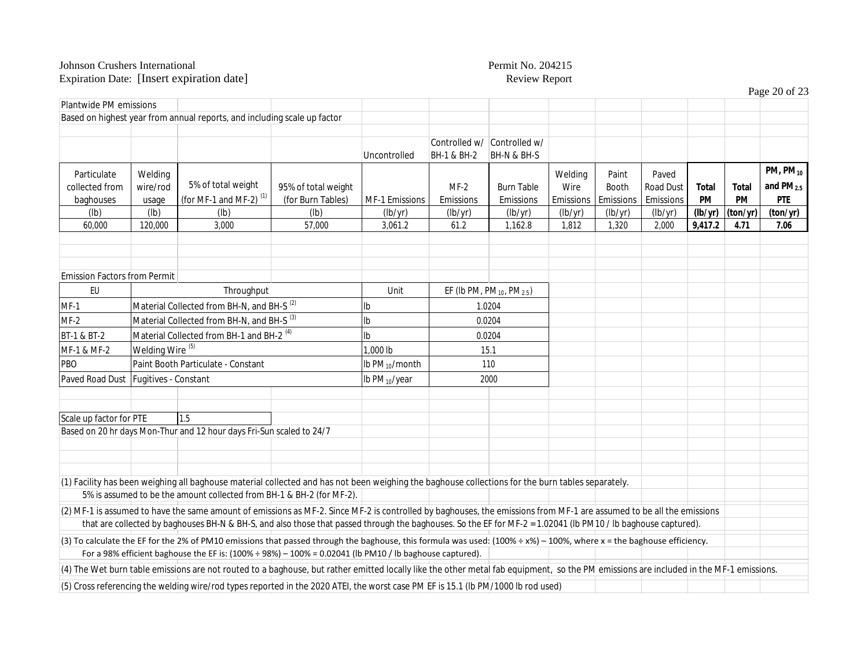|                                            |                              |                                                                                                                                                                                                                                                                                                                                       |                                          |                           |                              |                                                   |                              |                             |                                 |                    |             | Page 20 of 23                              |
|--------------------------------------------|------------------------------|---------------------------------------------------------------------------------------------------------------------------------------------------------------------------------------------------------------------------------------------------------------------------------------------------------------------------------------|------------------------------------------|---------------------------|------------------------------|---------------------------------------------------|------------------------------|-----------------------------|---------------------------------|--------------------|-------------|--------------------------------------------|
| Plantwide PM emissions                     |                              |                                                                                                                                                                                                                                                                                                                                       |                                          |                           |                              |                                                   |                              |                             |                                 |                    |             |                                            |
|                                            |                              | Based on highest year from annual reports, and including scale up factor                                                                                                                                                                                                                                                              |                                          |                           |                              |                                                   |                              |                             |                                 |                    |             |                                            |
|                                            |                              |                                                                                                                                                                                                                                                                                                                                       |                                          | Uncontrolled              | Controlled w/<br>BH-1 & BH-2 | Controlled w/<br>BH-N & BH-S                      |                              |                             |                                 |                    |             |                                            |
| Particulate<br>collected from<br>baghouses | Welding<br>wire/rod<br>usage | 5% of total weight<br>(for MF-1 and MF-2) $(1)$                                                                                                                                                                                                                                                                                       | 95% of total weight<br>(for Burn Tables) | MF-1 Emissions            | $MF-2$<br>Emissions          | <b>Burn Table</b><br>Emissions                    | Welding<br>Wire<br>Emissions | Paint<br>Booth<br>Emissions | Paved<br>Road Dust<br>Emissions | <b>Total</b><br>PM | Total<br>PM | $PM, PM_{10}$<br>and $PM2.5$<br><b>PTE</b> |
| (1b)                                       | (lb)                         | (lb)                                                                                                                                                                                                                                                                                                                                  | (Ib)                                     | (lb/yr)                   | (lb/yr)                      | (lb/yr)                                           | (lb/yr)                      | (lb/yr)                     | (lb/yr)                         | (lb/yr)            | (ton/yr)    | (ton/yr)                                   |
| 60,000                                     | 120,000                      | 3,000                                                                                                                                                                                                                                                                                                                                 | 57,000                                   | 3,061.2                   | 61.2                         | 1,162.8                                           | 1,812                        | 1,320                       | 2,000                           | 9,417.2            | 4.71        | 7.06                                       |
|                                            |                              |                                                                                                                                                                                                                                                                                                                                       |                                          |                           |                              |                                                   |                              |                             |                                 |                    |             |                                            |
| <b>Emission Factors from Permit</b>        |                              |                                                                                                                                                                                                                                                                                                                                       |                                          |                           |                              |                                                   |                              |                             |                                 |                    |             |                                            |
| EU                                         |                              | Throughput                                                                                                                                                                                                                                                                                                                            |                                          | Unit                      |                              | EF (Ib PM, PM <sub>10</sub> , PM <sub>2.5</sub> ) |                              |                             |                                 |                    |             |                                            |
| $MF-1$                                     |                              | Material Collected from BH-N, and BH-S <sup>(2)</sup>                                                                                                                                                                                                                                                                                 |                                          | lb                        |                              | 1.0204                                            |                              |                             |                                 |                    |             |                                            |
| $MF-2$                                     |                              | Material Collected from BH-N, and BH-S <sup>(3)</sup>                                                                                                                                                                                                                                                                                 |                                          | Ib                        |                              | 0.0204                                            |                              |                             |                                 |                    |             |                                            |
| BT-1 & BT-2                                |                              | Material Collected from BH-1 and BH-2 <sup>(4)</sup>                                                                                                                                                                                                                                                                                  |                                          | Ib                        |                              | 0.0204                                            |                              |                             |                                 |                    |             |                                            |
| MF-1 & MF-2                                | Welding Wire <sup>(5)</sup>  |                                                                                                                                                                                                                                                                                                                                       |                                          | 1,000 lb                  |                              | 15.1                                              |                              |                             |                                 |                    |             |                                            |
| PBO                                        |                              | Paint Booth Particulate - Constant                                                                                                                                                                                                                                                                                                    |                                          | lb $PM_{10}/$ month       | 110                          |                                                   |                              |                             |                                 |                    |             |                                            |
| Paved Road Dust Fugitives - Constant       |                              |                                                                                                                                                                                                                                                                                                                                       |                                          | Ib PM <sub>10</sub> /year | 2000                         |                                                   |                              |                             |                                 |                    |             |                                            |
|                                            |                              |                                                                                                                                                                                                                                                                                                                                       |                                          |                           |                              |                                                   |                              |                             |                                 |                    |             |                                            |
| Scale up factor for PTE                    |                              | 1.5                                                                                                                                                                                                                                                                                                                                   |                                          |                           |                              |                                                   |                              |                             |                                 |                    |             |                                            |
|                                            |                              | Based on 20 hr days Mon-Thur and 12 hour days Fri-Sun scaled to 24/7                                                                                                                                                                                                                                                                  |                                          |                           |                              |                                                   |                              |                             |                                 |                    |             |                                            |
|                                            |                              |                                                                                                                                                                                                                                                                                                                                       |                                          |                           |                              |                                                   |                              |                             |                                 |                    |             |                                            |
|                                            |                              |                                                                                                                                                                                                                                                                                                                                       |                                          |                           |                              |                                                   |                              |                             |                                 |                    |             |                                            |
|                                            |                              | (1) Facility has been weighing all baghouse material collected and has not been weighing the baghouse collections for the burn tables separately.<br>5% is assumed to be the amount collected from BH-1 & BH-2 (for MF-2).                                                                                                            |                                          |                           |                              |                                                   |                              |                             |                                 |                    |             |                                            |
|                                            |                              | (2) MF-1 is assumed to have the same amount of emissions as MF-2. Since MF-2 is controlled by baghouses, the emissions from MF-1 are assumed to be all the emissions<br>that are collected by baghouses BH-N & BH-S, and also those that passed through the baghouses. So the EF for MF-2 = 1.02041 (lb PM10 / lb baghouse captured). |                                          |                           |                              |                                                   |                              |                             |                                 |                    |             |                                            |
|                                            |                              | (3) To calculate the EF for the 2% of PM10 emissions that passed through the baghouse, this formula was used: (100% ÷ x%) – 100%, where x = the baghouse efficiency.                                                                                                                                                                  |                                          |                           |                              |                                                   |                              |                             |                                 |                    |             |                                            |
|                                            |                              | For a 98% efficient baghouse the EF is: $(100\% \div 98\%) - 100\% = 0.02041$ (lb PM10 / lb baghouse captured).                                                                                                                                                                                                                       |                                          |                           |                              |                                                   |                              |                             |                                 |                    |             |                                            |
|                                            |                              | (4) The Wet burn table emissions are not routed to a baghouse, but rather emitted locally like the other metal fab equipment, so the PM emissions are included in the MF-1 emissions.                                                                                                                                                 |                                          |                           |                              |                                                   |                              |                             |                                 |                    |             |                                            |
|                                            |                              | (5) Cross referencing the welding wire/rod types reported in the 2020 ATEI, the worst case PM EF is 15.1 (Ib PM/1000 lb rod used)                                                                                                                                                                                                     |                                          |                           |                              |                                                   |                              |                             |                                 |                    |             |                                            |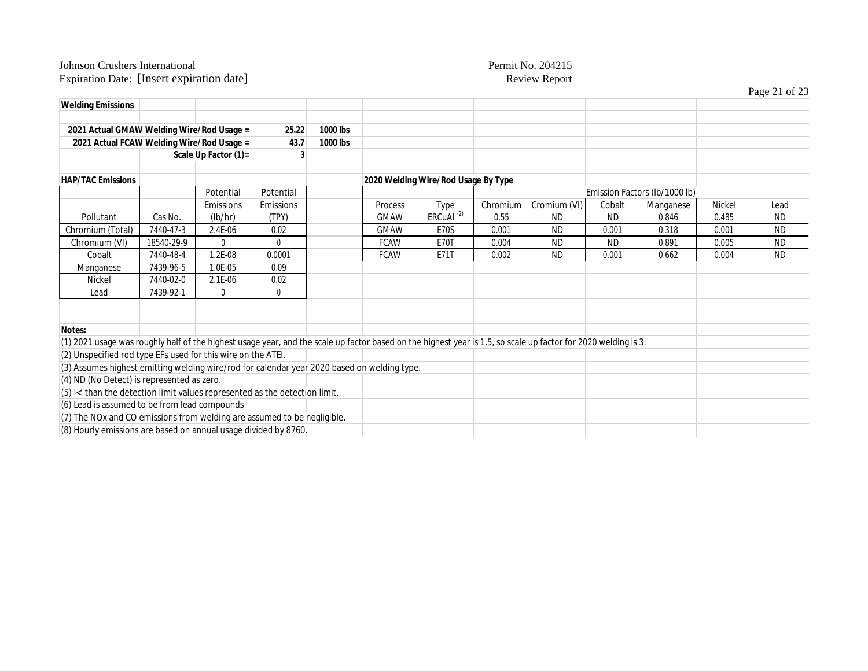|                                                                                                                                                                |            |                      |                |          |             |                                     |          |              |           |                               |        | Page 21 of 23 |
|----------------------------------------------------------------------------------------------------------------------------------------------------------------|------------|----------------------|----------------|----------|-------------|-------------------------------------|----------|--------------|-----------|-------------------------------|--------|---------------|
| <b>Welding Emissions</b>                                                                                                                                       |            |                      |                |          |             |                                     |          |              |           |                               |        |               |
| 2021 Actual GMAW Welding Wire/Rod Usage =                                                                                                                      |            |                      | 25.22          | 1000 lbs |             |                                     |          |              |           |                               |        |               |
| 2021 Actual FCAW Welding Wire/Rod Usage =                                                                                                                      |            |                      | 43.7           | 1000 lbs |             |                                     |          |              |           |                               |        |               |
|                                                                                                                                                                |            | Scale Up Factor (1)= | 3              |          |             |                                     |          |              |           |                               |        |               |
|                                                                                                                                                                |            |                      |                |          |             |                                     |          |              |           |                               |        |               |
| <b>HAP/TAC Emissions</b>                                                                                                                                       |            |                      |                |          |             | 2020 Welding Wire/Rod Usage By Type |          |              |           |                               |        |               |
|                                                                                                                                                                |            | Potential            | Potential      |          |             |                                     |          |              |           | Emission Factors (lb/1000 lb) |        |               |
|                                                                                                                                                                |            | Emissions            | Emissions      |          | Process     | Type                                | Chromium | Cromium (VI) | Cobalt    | Manganese                     | Nickel | Lead          |
| Pollutant                                                                                                                                                      | Cas No.    | (lb/hr)              | (TPY)          |          | <b>GMAW</b> | ERCuAl <sup>(2)</sup>               | 0.55     | <b>ND</b>    | <b>ND</b> | 0.846                         | 0.485  | <b>ND</b>     |
| Chromium (Total)                                                                                                                                               | 7440-47-3  | 2.4E-06              | 0.02           |          | <b>GMAW</b> | <b>E70S</b>                         | 0.001    | <b>ND</b>    | 0.001     | 0.318                         | 0.001  | <b>ND</b>     |
| Chromium (VI)                                                                                                                                                  | 18540-29-9 | $\mathbf{0}$         | $\overline{0}$ |          | <b>FCAW</b> | <b>E70T</b>                         | 0.004    | <b>ND</b>    | ND.       | 0.891                         | 0.005  | <b>ND</b>     |
| Cobalt                                                                                                                                                         | 7440-48-4  | 1.2E-08              | 0.0001         |          | <b>FCAW</b> | <b>E71T</b>                         | 0.002    | <b>ND</b>    | 0.001     | 0.662                         | 0.004  | <b>ND</b>     |
| Manganese                                                                                                                                                      | 7439-96-5  | 1.0E-05              | 0.09           |          |             |                                     |          |              |           |                               |        |               |
| Nickel                                                                                                                                                         | 7440-02-0  | 2.1E-06              | 0.02           |          |             |                                     |          |              |           |                               |        |               |
| Lead                                                                                                                                                           | 7439-92-1  | $\mathbf 0$          | 0              |          |             |                                     |          |              |           |                               |        |               |
|                                                                                                                                                                |            |                      |                |          |             |                                     |          |              |           |                               |        |               |
|                                                                                                                                                                |            |                      |                |          |             |                                     |          |              |           |                               |        |               |
| Notes:                                                                                                                                                         |            |                      |                |          |             |                                     |          |              |           |                               |        |               |
| (1) 2021 usage was roughly half of the highest usage year, and the scale up factor based on the highest year is 1.5, so scale up factor for 2020 welding is 3. |            |                      |                |          |             |                                     |          |              |           |                               |        |               |
| (2) Unspecified rod type EFs used for this wire on the ATEI.                                                                                                   |            |                      |                |          |             |                                     |          |              |           |                               |        |               |
| (3) Assumes highest emitting welding wire/rod for calendar year 2020 based on welding type.                                                                    |            |                      |                |          |             |                                     |          |              |           |                               |        |               |
| (4) ND (No Detect) is represented as zero.                                                                                                                     |            |                      |                |          |             |                                     |          |              |           |                               |        |               |
| (5) '<' than the detection limit values represented as the detection limit.                                                                                    |            |                      |                |          |             |                                     |          |              |           |                               |        |               |
| (6) Lead is assumed to be from lead compounds                                                                                                                  |            |                      |                |          |             |                                     |          |              |           |                               |        |               |
| (7) The NOx and CO emissions from welding are assumed to be negligible.                                                                                        |            |                      |                |          |             |                                     |          |              |           |                               |        |               |
| (8) Hourly emissions are based on annual usage divided by 8760.                                                                                                |            |                      |                |          |             |                                     |          |              |           |                               |        |               |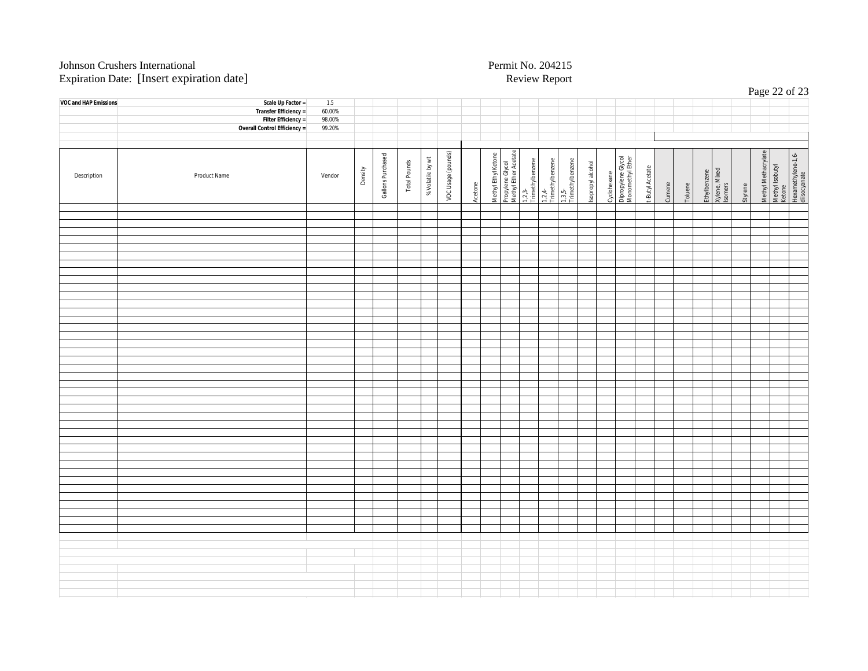| $\overline{\phantom{a}}$ | $\sim$<br>$\overline{\phantom{a}}$ |        |         |                   |              |                  |                    |         |                     |                                          |                            | $\overline{\phantom{a}}$   |                            |                   |             |                                        |                 |        |         |                                          |         |                     | Page 22 of 23             |                                    |
|--------------------------|------------------------------------|--------|---------|-------------------|--------------|------------------|--------------------|---------|---------------------|------------------------------------------|----------------------------|----------------------------|----------------------------|-------------------|-------------|----------------------------------------|-----------------|--------|---------|------------------------------------------|---------|---------------------|---------------------------|------------------------------------|
| VOC and HAP Emissions    | Scale Up Factor =                  | 1.5    |         |                   |              |                  |                    |         |                     |                                          |                            |                            |                            |                   |             |                                        |                 |        |         |                                          |         |                     |                           |                                    |
|                          | Transfer Efficiency =              | 60.00% |         |                   |              |                  |                    |         |                     |                                          |                            |                            |                            |                   |             |                                        |                 |        |         |                                          |         |                     |                           |                                    |
|                          | Filter Efficiency =                | 98.00% |         |                   |              |                  |                    |         |                     |                                          |                            |                            |                            |                   |             |                                        |                 |        |         |                                          |         |                     |                           |                                    |
|                          | Overall Control Efficiency =       | 99.20% |         |                   |              |                  |                    |         |                     |                                          |                            |                            |                            |                   |             |                                        |                 |        |         |                                          |         |                     |                           |                                    |
|                          |                                    |        |         |                   |              |                  |                    |         |                     |                                          |                            |                            |                            |                   |             |                                        |                 |        |         |                                          |         |                     |                           |                                    |
|                          |                                    |        |         |                   |              |                  |                    |         |                     |                                          |                            |                            |                            |                   |             |                                        |                 |        |         |                                          |         |                     |                           |                                    |
| Description              | Product Name                       | Vendor | Density | Gallons Purchased | Total Pounds | % Volatile by wt | VOC Usage (pounds) | Acetone | Methyl Ethyl Ketone | Propylene Glycol<br>Methyl Ether Acetate | 1,2,3-<br>Trimethylbenzene | 1,2,4-<br>Trimethylbenzene | 1,3,5-<br>Trimethylbenzene | Isopropyl alcohol | Cyclohexane | Dipropylene Glycol<br>Monomethyl Ether | t-Butyl Acetate | Cumene | Toluene | Ethylbenzene<br>Xylene, Mixed<br>Isomers | Styrene | Methyl Methacrylate | Methyl Isobutyl<br>Ketone | Hexamethylene-1,6-<br>diisocyanate |
|                          |                                    |        |         |                   |              |                  |                    |         |                     |                                          |                            |                            |                            |                   |             |                                        |                 |        |         |                                          |         |                     |                           |                                    |
|                          |                                    |        |         |                   |              |                  |                    |         |                     |                                          |                            |                            |                            |                   |             |                                        |                 |        |         |                                          |         |                     |                           |                                    |
|                          |                                    |        |         |                   |              |                  |                    |         |                     |                                          |                            |                            |                            |                   |             |                                        |                 |        |         |                                          |         |                     |                           |                                    |
|                          |                                    |        |         |                   |              |                  |                    |         |                     |                                          |                            |                            |                            |                   |             |                                        |                 |        |         |                                          |         |                     |                           |                                    |
|                          |                                    |        |         |                   |              |                  |                    |         |                     |                                          |                            |                            |                            |                   |             |                                        |                 |        |         |                                          |         |                     |                           |                                    |
|                          |                                    |        |         |                   |              |                  |                    |         |                     |                                          |                            |                            |                            |                   |             |                                        |                 |        |         |                                          |         |                     |                           |                                    |
|                          |                                    |        |         |                   |              |                  |                    |         |                     |                                          |                            |                            |                            |                   |             |                                        |                 |        |         |                                          |         |                     |                           |                                    |
|                          |                                    |        |         |                   |              |                  |                    |         |                     |                                          |                            |                            |                            |                   |             |                                        |                 |        |         |                                          |         |                     |                           |                                    |
|                          |                                    |        |         |                   |              |                  |                    |         |                     |                                          |                            |                            |                            |                   |             |                                        |                 |        |         |                                          |         |                     |                           |                                    |
|                          |                                    |        |         |                   |              |                  |                    |         |                     |                                          |                            |                            |                            |                   |             |                                        |                 |        |         |                                          |         |                     |                           |                                    |
|                          |                                    |        |         |                   |              |                  |                    |         |                     |                                          |                            |                            |                            |                   |             |                                        |                 |        |         |                                          |         |                     |                           |                                    |
|                          |                                    |        |         |                   |              |                  |                    |         |                     |                                          |                            |                            |                            |                   |             |                                        |                 |        |         |                                          |         |                     |                           |                                    |
|                          |                                    |        |         |                   |              |                  |                    |         |                     |                                          |                            |                            |                            |                   |             |                                        |                 |        |         |                                          |         |                     |                           |                                    |
|                          |                                    |        |         |                   |              |                  |                    |         |                     |                                          |                            |                            |                            |                   |             |                                        |                 |        |         |                                          |         |                     |                           |                                    |
|                          |                                    |        |         |                   |              |                  |                    |         |                     |                                          |                            |                            |                            |                   |             |                                        |                 |        |         |                                          |         |                     |                           |                                    |
|                          |                                    |        |         |                   |              |                  |                    |         |                     |                                          |                            |                            |                            |                   |             |                                        |                 |        |         |                                          |         |                     |                           |                                    |
|                          |                                    |        |         |                   |              |                  |                    |         |                     |                                          |                            |                            |                            |                   |             |                                        |                 |        |         |                                          |         |                     |                           |                                    |
|                          |                                    |        |         |                   |              |                  |                    |         |                     |                                          |                            |                            |                            |                   |             |                                        |                 |        |         |                                          |         |                     |                           |                                    |
|                          |                                    |        |         |                   |              |                  |                    |         |                     |                                          |                            |                            |                            |                   |             |                                        |                 |        |         |                                          |         |                     |                           |                                    |
|                          |                                    |        |         |                   |              |                  |                    |         |                     |                                          |                            |                            |                            |                   |             |                                        |                 |        |         |                                          |         |                     |                           |                                    |
|                          |                                    |        |         |                   |              |                  |                    |         |                     |                                          |                            |                            |                            |                   |             |                                        |                 |        |         |                                          |         |                     |                           |                                    |
|                          |                                    |        |         |                   |              |                  |                    |         |                     |                                          |                            |                            |                            |                   |             |                                        |                 |        |         |                                          |         |                     |                           |                                    |
|                          |                                    |        |         |                   |              |                  |                    |         |                     |                                          |                            |                            |                            |                   |             |                                        |                 |        |         |                                          |         |                     |                           |                                    |
|                          |                                    |        |         |                   |              |                  |                    |         |                     |                                          |                            |                            |                            |                   |             |                                        |                 |        |         |                                          |         |                     |                           |                                    |
|                          |                                    |        |         |                   |              |                  |                    |         |                     |                                          |                            |                            |                            |                   |             |                                        |                 |        |         |                                          |         |                     |                           |                                    |
|                          |                                    |        |         |                   |              |                  |                    |         |                     |                                          |                            |                            |                            |                   |             |                                        |                 |        |         |                                          |         |                     |                           |                                    |
|                          |                                    |        |         |                   |              |                  |                    |         |                     |                                          |                            |                            |                            |                   |             |                                        |                 |        |         |                                          |         |                     |                           |                                    |
|                          |                                    |        |         |                   |              |                  |                    |         |                     |                                          |                            |                            |                            |                   |             |                                        |                 |        |         |                                          |         |                     |                           |                                    |
|                          |                                    |        |         |                   |              |                  |                    |         |                     |                                          |                            |                            |                            |                   |             |                                        |                 |        |         |                                          |         |                     |                           |                                    |
|                          |                                    |        |         |                   |              |                  |                    |         |                     |                                          |                            |                            |                            |                   |             |                                        |                 |        |         |                                          |         |                     |                           |                                    |
|                          |                                    |        |         |                   |              |                  |                    |         |                     |                                          |                            |                            |                            |                   |             |                                        |                 |        |         |                                          |         |                     |                           |                                    |
|                          |                                    |        |         |                   |              |                  |                    |         |                     |                                          |                            |                            |                            |                   |             |                                        |                 |        |         |                                          |         |                     |                           |                                    |
|                          |                                    |        |         |                   |              |                  |                    |         |                     |                                          |                            |                            |                            |                   |             |                                        |                 |        |         |                                          |         |                     |                           |                                    |
|                          |                                    |        |         |                   |              |                  |                    |         |                     |                                          |                            |                            |                            |                   |             |                                        |                 |        |         |                                          |         |                     |                           |                                    |
|                          |                                    |        |         |                   |              |                  |                    |         |                     |                                          |                            |                            |                            |                   |             |                                        |                 |        |         |                                          |         |                     |                           |                                    |
|                          |                                    |        |         |                   |              |                  |                    |         |                     |                                          |                            |                            |                            |                   |             |                                        |                 |        |         |                                          |         |                     |                           |                                    |
|                          |                                    |        |         |                   |              |                  |                    |         |                     |                                          |                            |                            |                            |                   |             |                                        |                 |        |         |                                          |         |                     |                           |                                    |
|                          |                                    |        |         |                   |              |                  |                    |         |                     |                                          |                            |                            |                            |                   |             |                                        |                 |        |         |                                          |         |                     |                           |                                    |
|                          |                                    |        |         |                   |              |                  |                    |         |                     |                                          |                            |                            |                            |                   |             |                                        |                 |        |         |                                          |         |                     |                           |                                    |
|                          |                                    |        |         |                   |              |                  |                    |         |                     |                                          |                            |                            |                            |                   |             |                                        |                 |        |         |                                          |         |                     |                           |                                    |
|                          |                                    |        |         |                   |              |                  |                    |         |                     |                                          |                            |                            |                            |                   |             |                                        |                 |        |         |                                          |         |                     |                           |                                    |
|                          |                                    |        |         |                   |              |                  |                    |         |                     |                                          |                            |                            |                            |                   |             |                                        |                 |        |         |                                          |         |                     |                           |                                    |